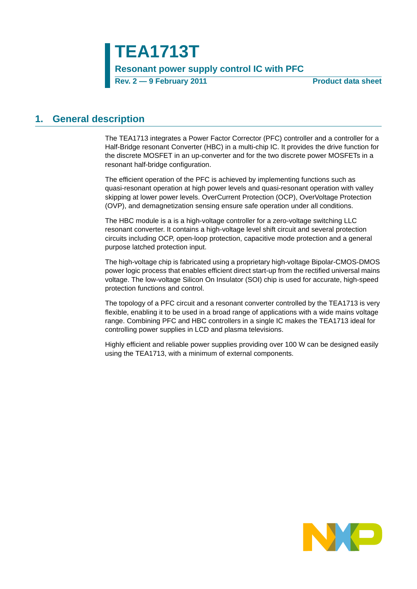### <span id="page-0-0"></span>**1. General description**

The TEA1713 integrates a Power Factor Corrector (PFC) controller and a controller for a Half-Bridge resonant Converter (HBC) in a multi-chip IC. It provides the drive function for the discrete MOSFET in an up-converter and for the two discrete power MOSFETs in a resonant half-bridge configuration.

The efficient operation of the PFC is achieved by implementing functions such as quasi-resonant operation at high power levels and quasi-resonant operation with valley skipping at lower power levels. OverCurrent Protection (OCP), OverVoltage Protection (OVP), and demagnetization sensing ensure safe operation under all conditions.

The HBC module is a is a high-voltage controller for a zero-voltage switching LLC resonant converter. It contains a high-voltage level shift circuit and several protection circuits including OCP, open-loop protection, capacitive mode protection and a general purpose latched protection input.

The high-voltage chip is fabricated using a proprietary high-voltage Bipolar-CMOS-DMOS power logic process that enables efficient direct start-up from the rectified universal mains voltage. The low-voltage Silicon On Insulator (SOI) chip is used for accurate, high-speed protection functions and control.

The topology of a PFC circuit and a resonant converter controlled by the TEA1713 is very flexible, enabling it to be used in a broad range of applications with a wide mains voltage range. Combining PFC and HBC controllers in a single IC makes the TEA1713 ideal for controlling power supplies in LCD and plasma televisions.

Highly efficient and reliable power supplies providing over 100 W can be designed easily using the TEA1713, with a minimum of external components.

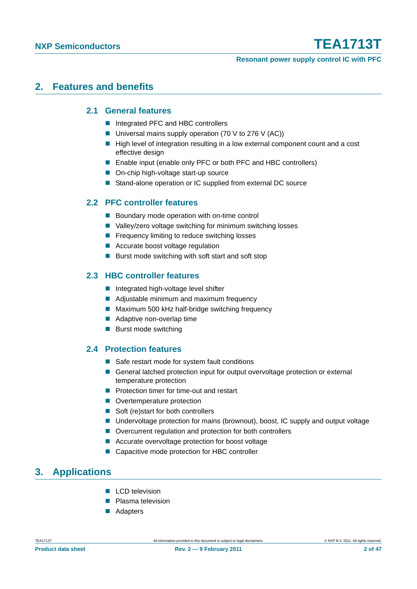#### **Resonant power supply control IC with PFC**

### <span id="page-1-1"></span><span id="page-1-0"></span>**2. Features and benefits**

### **2.1 General features**

- Integrated PFC and HBC controllers
- Universal mains supply operation (70 V to 276 V (AC))
- High level of integration resulting in a low external component count and a cost effective design
- Enable input (enable only PFC or both PFC and HBC controllers)
- On-chip high-voltage start-up source
- Stand-alone operation or IC supplied from external DC source

### <span id="page-1-2"></span>**2.2 PFC controller features**

- **Boundary mode operation with on-time control**
- Valley/zero voltage switching for minimum switching losses
- **Figure 1** Frequency limiting to reduce switching losses
- Accurate boost voltage regulation
- Burst mode switching with soft start and soft stop

### <span id="page-1-3"></span>**2.3 HBC controller features**

- Integrated high-voltage level shifter
- Adjustable minimum and maximum frequency
- Maximum 500 kHz half-bridge switching frequency
- Adaptive non-overlap time
- Burst mode switching

### <span id="page-1-4"></span>**2.4 Protection features**

- Safe restart mode for system fault conditions
- General latched protection input for output overvoltage protection or external temperature protection
- **Protection timer for time-out and restart**
- **Overtemperature protection**
- Soft (re)start for both controllers
- Undervoltage protection for mains (brownout), boost, IC supply and output voltage
- Overcurrent regulation and protection for both controllers
- Accurate overvoltage protection for boost voltage
- Capacitive mode protection for HBC controller

### <span id="page-1-5"></span>**3. Applications**

- **LCD** television
- **Plasma television**
- Adapters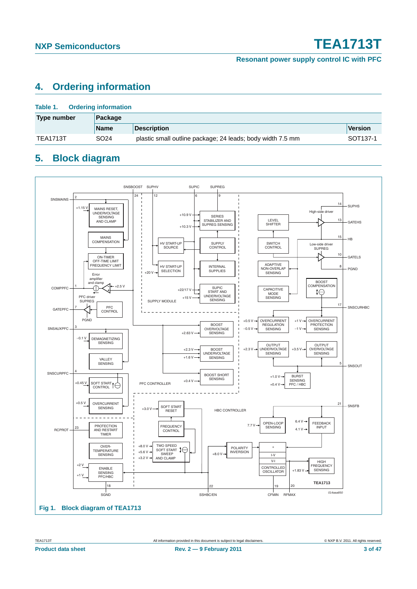### <span id="page-2-1"></span>**4. Ordering information**

| Table 1.<br><b>Ordering information</b> |                  |                                                            |                      |  |  |
|-----------------------------------------|------------------|------------------------------------------------------------|----------------------|--|--|
| Type number<br>Package                  |                  |                                                            |                      |  |  |
|                                         | <b>Name</b>      | <b>Description</b>                                         | Version              |  |  |
| <b>TEA1713T</b>                         | SO <sub>24</sub> | plastic small outline package; 24 leads; body width 7.5 mm | SOT <sub>137-1</sub> |  |  |

### <span id="page-2-2"></span>**5. Block diagram**

<span id="page-2-0"></span>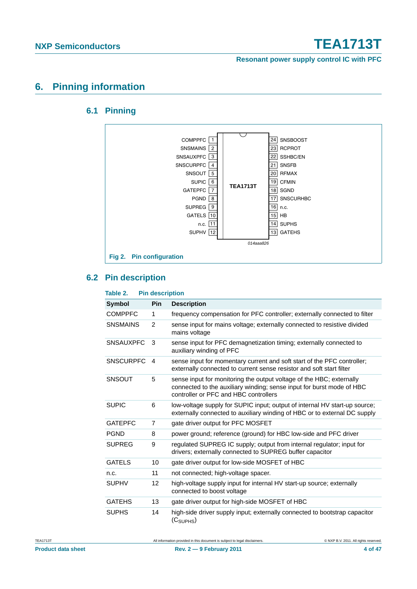**Resonant power supply control IC with PFC**

### <span id="page-3-1"></span><span id="page-3-0"></span>**6. Pinning information**

### **6.1 Pinning**



### <span id="page-3-2"></span>**6.2 Pin description**

| Table 2.         | <b>Pin description</b> |                                                                                                                                                                                        |
|------------------|------------------------|----------------------------------------------------------------------------------------------------------------------------------------------------------------------------------------|
| <b>Symbol</b>    | <b>Pin</b>             | <b>Description</b>                                                                                                                                                                     |
| <b>COMPPFC</b>   | 1                      | frequency compensation for PFC controller; externally connected to filter                                                                                                              |
| <b>SNSMAINS</b>  | 2                      | sense input for mains voltage; externally connected to resistive divided<br>mains voltage                                                                                              |
| <b>SNSAUXPFC</b> | 3                      | sense input for PFC demagnetization timing; externally connected to<br>auxiliary winding of PFC                                                                                        |
| <b>SNSCURPFC</b> | $\overline{4}$         | sense input for momentary current and soft start of the PFC controller;<br>externally connected to current sense resistor and soft start filter                                        |
| <b>SNSOUT</b>    | 5                      | sense input for monitoring the output voltage of the HBC; externally<br>connected to the auxiliary winding; sense input for burst mode of HBC<br>controller or PFC and HBC controllers |
| <b>SUPIC</b>     | 6                      | low-voltage supply for SUPIC input; output of internal HV start-up source;<br>externally connected to auxiliary winding of HBC or to external DC supply                                |
| <b>GATEPFC</b>   | 7                      | gate driver output for PFC MOSFET                                                                                                                                                      |
| <b>PGND</b>      | 8                      | power ground; reference (ground) for HBC low-side and PFC driver                                                                                                                       |
| <b>SUPREG</b>    | 9                      | regulated SUPREG IC supply; output from internal regulator; input for<br>drivers; externally connected to SUPREG buffer capacitor                                                      |
| <b>GATELS</b>    | 10                     | gate driver output for low-side MOSFET of HBC                                                                                                                                          |
| n.c.             | 11                     | not connected; high-voltage spacer.                                                                                                                                                    |
| <b>SUPHV</b>     | 12                     | high-voltage supply input for internal HV start-up source; externally<br>connected to boost voltage                                                                                    |
| <b>GATEHS</b>    | 13                     | gate driver output for high-side MOSFET of HBC                                                                                                                                         |
| <b>SUPHS</b>     | 14                     | high-side driver supply input; externally connected to bootstrap capacitor<br>(C <sub>SUPHS</sub> )                                                                                    |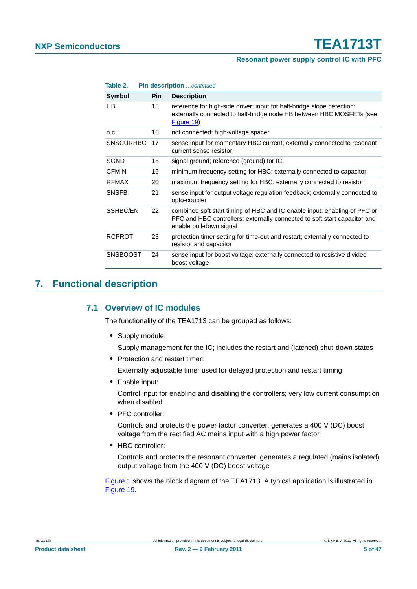### **Resonant power supply control IC with PFC**

| Table 2.         |            | <b>Pin description</b> continued                                                                                                                                                  |
|------------------|------------|-----------------------------------------------------------------------------------------------------------------------------------------------------------------------------------|
| <b>Symbol</b>    | <b>Pin</b> | <b>Description</b>                                                                                                                                                                |
| HB               | 15         | reference for high-side driver; input for half-bridge slope detection;<br>externally connected to half-bridge node HB between HBC MOSFETs (see<br>Figure 19)                      |
| n.c.             | 16         | not connected; high-voltage spacer                                                                                                                                                |
| <b>SNSCURHBC</b> | 17         | sense input for momentary HBC current; externally connected to resonant<br>current sense resistor                                                                                 |
| <b>SGND</b>      | 18         | signal ground; reference (ground) for IC.                                                                                                                                         |
| <b>CFMIN</b>     | 19         | minimum frequency setting for HBC; externally connected to capacitor                                                                                                              |
| <b>RFMAX</b>     | 20         | maximum frequency setting for HBC; externally connected to resistor                                                                                                               |
| <b>SNSFB</b>     | 21         | sense input for output voltage regulation feedback; externally connected to<br>opto-coupler                                                                                       |
| SSHBC/EN         | 22         | combined soft start timing of HBC and IC enable input; enabling of PFC or<br>PFC and HBC controllers; externally connected to soft start capacitor and<br>enable pull-down signal |
| <b>RCPROT</b>    | 23         | protection timer setting for time-out and restart; externally connected to<br>resistor and capacitor                                                                              |
| <b>SNSBOOST</b>  | 24         | sense input for boost voltage; externally connected to resistive divided<br>boost voltage                                                                                         |

### <span id="page-4-1"></span><span id="page-4-0"></span>**7. Functional description**

### **7.1 Overview of IC modules**

The functionality of the TEA1713 can be grouped as follows:

**•** Supply module:

Supply management for the IC; includes the restart and (latched) shut-down states

**•** Protection and restart timer:

Externally adjustable timer used for delayed protection and restart timing

**•** Enable input:

Control input for enabling and disabling the controllers; very low current consumption when disabled

**•** PFC controller:

Controls and protects the power factor converter; generates a 400 V (DC) boost voltage from the rectified AC mains input with a high power factor

**•** HBC controller:

Controls and protects the resonant converter; generates a regulated (mains isolated) output voltage from the 400 V (DC) boost voltage

[Figure 1](#page-2-0) shows the block diagram of the TEA1713. A typical application is illustrated in [Figure 19](#page-39-0).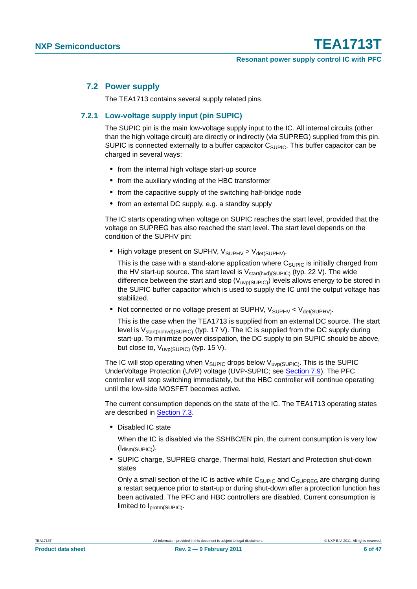### <span id="page-5-1"></span>**7.2 Power supply**

The TEA1713 contains several supply related pins.

### <span id="page-5-0"></span>**7.2.1 Low-voltage supply input (pin SUPIC)**

The SUPIC pin is the main low-voltage supply input to the IC. All internal circuits (other than the high voltage circuit) are directly or indirectly (via SUPREG) supplied from this pin. SUPIC is connected externally to a buffer capacitor  $C_{\text{SUPIC}}$ . This buffer capacitor can be charged in several ways:

- **•** from the internal high voltage start-up source
- **•** from the auxiliary winding of the HBC transformer
- **•** from the capacitive supply of the switching half-bridge node
- **•** from an external DC supply, e.g. a standby supply

The IC starts operating when voltage on SUPIC reaches the start level, provided that the voltage on SUPREG has also reached the start level. The start level depends on the condition of the SUPHV pin:

• High voltage present on SUPHV, V<sub>SUPHV</sub> > V<sub>det(SUPHV)</sub>.

This is the case with a stand-alone application where  $C_{\text{SUPIC}}$  is initially charged from the HV start-up source. The start level is  $V_{start(hvd)(SUP|C)}$  (typ. 22 V). The wide difference between the start and stop  $(V_{\text{uvo(SUP|C)}})$  levels allows energy to be stored in the SUPIC buffer capacitor which is used to supply the IC until the output voltage has stabilized.

• Not connected or no voltage present at SUPHV, V<sub>SUPHV</sub> < V<sub>det(SUPHV)</sub>.

This is the case when the TEA1713 is supplied from an external DC source. The start level is  $V_{\text{start}(nohvd)(SUPIC)}$  (typ. 17 V). The IC is supplied from the DC supply during start-up. To minimize power dissipation, the DC supply to pin SUPIC should be above, but close to, V<sub>uvp(SUPIC)</sub> (typ. 15 V).

The IC will stop operating when  $V_{\text{SUPIC}}$  drops below  $V_{\text{uvo(SUPIC)}}$ . This is the SUPIC UnderVoltage Protection (UVP) voltage (UVP-SUPIC; see [Section 7.9](#page-30-0)). The PFC controller will stop switching immediately, but the HBC controller will continue operating until the low-side MOSFET becomes active.

The current consumption depends on the state of the IC. The TEA1713 operating states are described in [Section 7.3.](#page-7-0)

**•** Disabled IC state

When the IC is disabled via the SSHBC/EN pin, the current consumption is very low  $(I_{\text{dism(SUPIC)}}).$ 

**•** SUPIC charge, SUPREG charge, Thermal hold, Restart and Protection shut-down states

Only a small section of the IC is active while  $C_{\text{SUPIC}}$  and  $C_{\text{SUPREG}}$  are charging during a restart sequence prior to start-up or during shut-down after a protection function has been activated. The PFC and HBC controllers are disabled. Current consumption is limited to I<sub>protm(SUPIC)</sub>.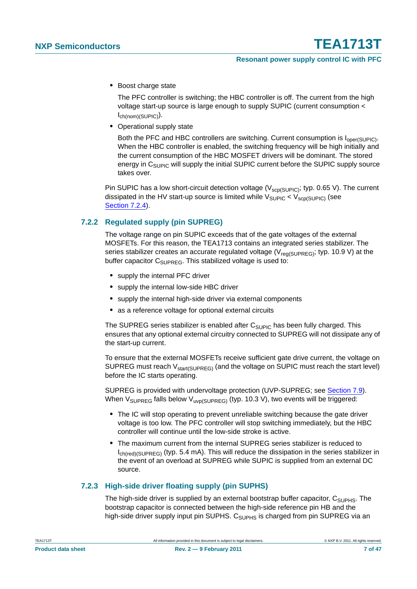**•** Boost charge state

The PFC controller is switching; the HBC controller is off. The current from the high voltage start-up source is large enough to supply SUPIC (current consumption < Ich(nom)(SUPIC)).

**•** Operational supply state

Both the PFC and HBC controllers are switching. Current consumption is  $I_{\text{oper(SUPIC)}}$ . When the HBC controller is enabled, the switching frequency will be high initially and the current consumption of the HBC MOSFET drivers will be dominant. The stored energy in C<sub>SUPIC</sub> will supply the initial SUPIC current before the SUPIC supply source takes over.

Pin SUPIC has a low short-circuit detection voltage ( $V_{\text{scp(SUPIC)}}$ ; typ. 0.65 V). The current dissipated in the HV start-up source is limited while  $V_{\text{SUPIC}} < V_{\text{SCP(SUPIC)}}$  (see [Section 7.2.4](#page-7-1)).

### <span id="page-6-0"></span>**7.2.2 Regulated supply (pin SUPREG)**

The voltage range on pin SUPIC exceeds that of the gate voltages of the external MOSFETs. For this reason, the TEA1713 contains an integrated series stabilizer. The series stabilizer creates an accurate regulated voltage ( $V_{\text{req}}(S)$ UPRFG); typ. 10.9 V) at the buffer capacitor  $C_{\text{SUPREG}}$ . This stabilized voltage is used to:

- **•** supply the internal PFC driver
- **•** supply the internal low-side HBC driver
- **•** supply the internal high-side driver via external components
- **•** as a reference voltage for optional external circuits

The SUPREG series stabilizer is enabled after  $C_{\text{SUPIC}}$  has been fully charged. This ensures that any optional external circuitry connected to SUPREG will not dissipate any of the start-up current.

To ensure that the external MOSFETs receive sufficient gate drive current, the voltage on SUPREG must reach  $V_{\text{start(SUPREG)}}$  (and the voltage on SUPIC must reach the start level) before the IC starts operating.

SUPREG is provided with undervoltage protection (UVP-SUPREG; see [Section 7.9\)](#page-30-0). When  $V_{\text{SUPREG}}$  falls below  $V_{\text{uvp(SUPREG)}}$  (typ. 10.3 V), two events will be triggered:

- **•** The IC will stop operating to prevent unreliable switching because the gate driver voltage is too low. The PFC controller will stop switching immediately, but the HBC controller will continue until the low-side stroke is active.
- **•** The maximum current from the internal SUPREG series stabilizer is reduced to I<sub>ch(red)</sub>(SUPREG) (typ. 5.4 mA). This will reduce the dissipation in the series stabilizer in the event of an overload at SUPREG while SUPIC is supplied from an external DC source.

### <span id="page-6-1"></span>**7.2.3 High-side driver floating supply (pin SUPHS)**

The high-side driver is supplied by an external bootstrap buffer capacitor,  $C_{\text{SUPHS}}$ . The bootstrap capacitor is connected between the high-side reference pin HB and the high-side driver supply input pin SUPHS. C<sub>SUPHS</sub> is charged from pin SUPREG via an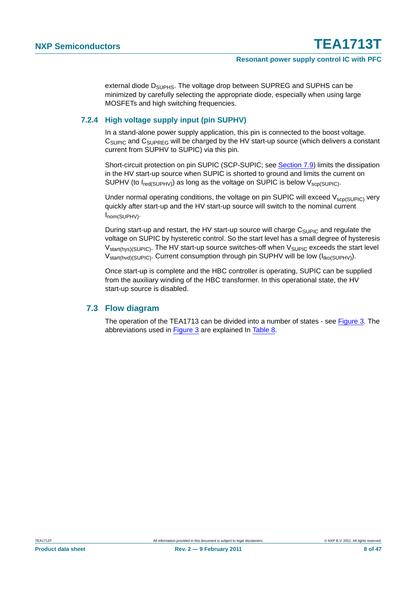external diode D<sub>SUPHS</sub>. The voltage drop between SUPREG and SUPHS can be minimized by carefully selecting the appropriate diode, especially when using large MOSFETs and high switching frequencies.

### <span id="page-7-1"></span>**7.2.4 High voltage supply input (pin SUPHV)**

In a stand-alone power supply application, this pin is connected to the boost voltage.  $C_{\text{SUPIC}}$  and  $C_{\text{SUPREG}}$  will be charged by the HV start-up source (which delivers a constant current from SUPHV to SUPIC) via this pin.

Short-circuit protection on pin SUPIC (SCP-SUPIC; see [Section 7.9\)](#page-30-0) limits the dissipation in the HV start-up source when SUPIC is shorted to ground and limits the current on SUPHV (to  $I_{\text{red}(SUPHV)}$ ) as long as the voltage on SUPIC is below  $V_{\text{scd}(SUPIC)}$ .

Under normal operating conditions, the voltage on pin SUPIC will exceed  $V_{\text{scp(SUPIC)}}$  very quickly after start-up and the HV start-up source will switch to the nominal current Inom(SUPHV).

During start-up and restart, the HV start-up source will charge  $C_{\text{SUPIC}}$  and regulate the voltage on SUPIC by hysteretic control. So the start level has a small degree of hysteresis  $V_{\text{start(hvs)(SUPIC)}}$ . The HV start-up source switches-off when  $V_{\text{SUPIC}}$  exceeds the start level  $V_{\text{stat(hvd)(SUPIC)}}$ . Current consumption through pin SUPHV will be low  $(I_{\text{tko(SUPHV)}})$ .

Once start-up is complete and the HBC controller is operating, SUPIC can be supplied from the auxiliary winding of the HBC transformer. In this operational state, the HV start-up source is disabled.

### <span id="page-7-0"></span>**7.3 Flow diagram**

The operation of the TEA1713 can be divided into a number of states - see [Figure 3.](#page-8-0) The abbreviations used in [Figure 3](#page-8-0) are explained In [Table 8.](#page-41-0)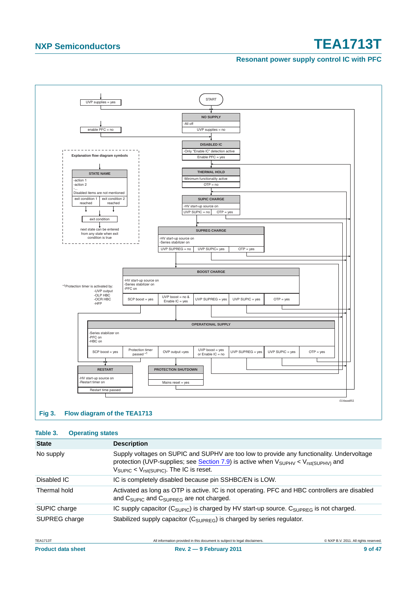### **Resonant power supply control IC with PFC**



### <span id="page-8-0"></span>**Fig 3. Flow diagram of the TEA1713**

### **Table 3. Operating states**

| <b>State</b>  | <b>Description</b>                                                                                                                                                                                                                                         |
|---------------|------------------------------------------------------------------------------------------------------------------------------------------------------------------------------------------------------------------------------------------------------------|
| No supply     | Supply voltages on SUPIC and SUPHV are too low to provide any functionality. Undervoltage<br>protection (UVP-supplies; see Section 7.9) is active when $V_{SUPHV}$ < $V_{rst(SUPHV)}$ and<br>$V_{\text{SUPIC}} < V_{\text{rst(SUPIC)}}$ . The IC is reset. |
| Disabled IC   | IC is completely disabled because pin SSHBC/EN is LOW.                                                                                                                                                                                                     |
| Thermal hold  | Activated as long as OTP is active. IC is not operating. PFC and HBC controllers are disabled<br>and C <sub>SUPIC</sub> and C <sub>SUPREG</sub> are not charged.                                                                                           |
| SUPIC charge  | IC supply capacitor ( $C_{\text{SUPIC}}$ ) is charged by HV start-up source. $C_{\text{SUPREG}}$ is not charged.                                                                                                                                           |
| SUPREG charge | Stabilized supply capacitor (C <sub>SUPREG</sub> ) is charged by series regulator.                                                                                                                                                                         |

| <b>TEA1713T</b>           |  |
|---------------------------|--|
| <b>Product data sheet</b> |  |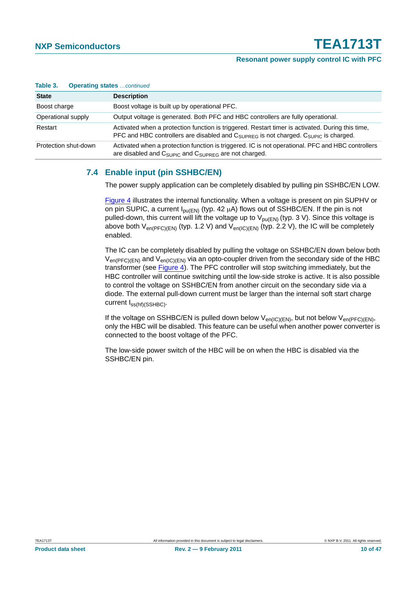| Table 3.             | <b>Operating states</b> continued                                                                                                                                                                               |
|----------------------|-----------------------------------------------------------------------------------------------------------------------------------------------------------------------------------------------------------------|
| <b>State</b>         | <b>Description</b>                                                                                                                                                                                              |
| Boost charge         | Boost voltage is built up by operational PFC.                                                                                                                                                                   |
| Operational supply   | Output voltage is generated. Both PFC and HBC controllers are fully operational.                                                                                                                                |
| Restart              | Activated when a protection function is triggered. Restart timer is activated. During this time,<br>PFC and HBC controllers are disabled and $C_{\text{SUPREG}}$ is not charged. $C_{\text{SUPIC}}$ is charged. |
| Protection shut-down | Activated when a protection function is triggered. IC is not operational. PFC and HBC controllers<br>are disabled and $C_{\text{SUPIC}}$ and $C_{\text{SUPREG}}$ are not charged.                               |

### <span id="page-9-0"></span>**7.4 Enable input (pin SSHBC/EN)**

The power supply application can be completely disabled by pulling pin SSHBC/EN LOW.

[Figure 4](#page-10-0) illustrates the internal functionality. When a voltage is present on pin SUPHV or on pin SUPIC, a current  $I_{DU(EN)}$  (typ. 42  $\mu$ A) flows out of SSHBC/EN. If the pin is not pulled-down, this current will lift the voltage up to  $V_{pu(EN)}$  (typ. 3 V). Since this voltage is above both  $V_{en(PFC)(EN)}$  (typ. 1.2 V) and  $V_{en(IC)(EN)}$  (typ. 2.2 V), the IC will be completely enabled.

The IC can be completely disabled by pulling the voltage on SSHBC/EN down below both  $V_{en(PFC) (EN)}$  and  $V_{en(IC) (EN)}$  via an opto-coupler driven from the secondary side of the HBC transformer (see [Figure 4\)](#page-10-0). The PFC controller will stop switching immediately, but the HBC controller will continue switching until the low-side stroke is active. It is also possible to control the voltage on SSHBC/EN from another circuit on the secondary side via a diode. The external pull-down current must be larger than the internal soft start charge current Iss(hf)(SSHBC).

If the voltage on SSHBC/EN is pulled down below  $V_{en(IC)(EN)}$ , but not below  $V_{en(PFC)(EN)}$ , only the HBC will be disabled. This feature can be useful when another power converter is connected to the boost voltage of the PFC.

The low-side power switch of the HBC will be on when the HBC is disabled via the SSHBC/EN pin.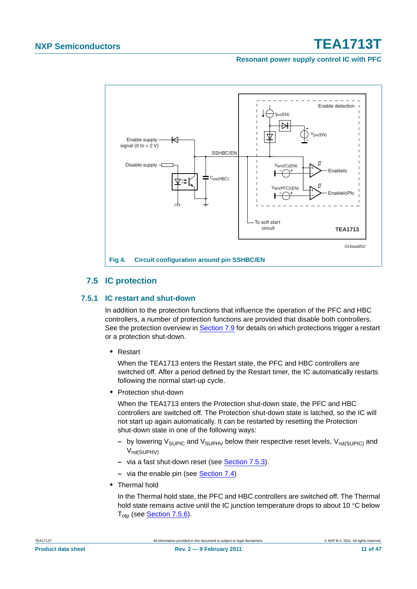**Resonant power supply control IC with PFC**



### <span id="page-10-0"></span>**7.5 IC protection**

### <span id="page-10-2"></span><span id="page-10-1"></span>**7.5.1 IC restart and shut-down**

In addition to the protection functions that influence the operation of the PFC and HBC controllers, a number of protection functions are provided that disable both controllers. See the protection overview in [Section 7.9](#page-30-0) for details on which protections trigger a restart or a protection shut-down.

**•** Restart

When the TEA1713 enters the Restart state, the PFC and HBC controllers are switched off. After a period defined by the Restart timer, the IC automatically restarts following the normal start-up cycle.

**•** Protection shut-down

When the TEA1713 enters the Protection shut-down state, the PFC and HBC controllers are switched off. The Protection shut-down state is latched, so the IC will not start up again automatically. It can be restarted by resetting the Protection shut-down state in one of the following ways:

- **–** by lowering V<sub>SUPIC</sub> and V<sub>SUPHV</sub> below their respective reset levels, V<sub>rst(SUPIC)</sub> and Vrst(SUPHV)
- **–** via a fast shut-down reset (see [Section 7.5.3](#page-12-0)).
- **–** via the enable pin (see [Section 7.4](#page-9-0))
- **•** Thermal hold

In the Thermal hold state, the PFC and HBC controllers are switched off. The Thermal hold state remains active until the IC junction temperature drops to about 10 °C below T<sub>otp</sub> (see **Section 7.5.6**).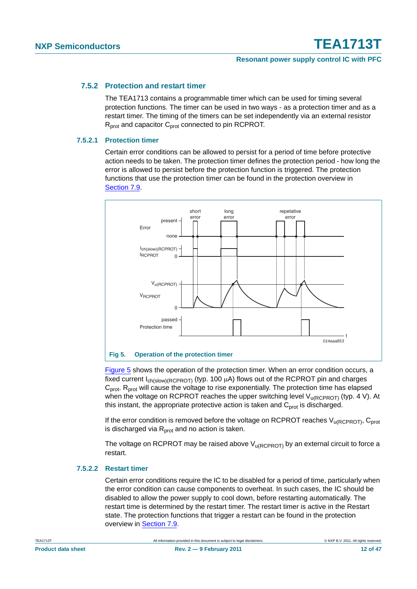### <span id="page-11-1"></span>**7.5.2 Protection and restart timer**

The TEA1713 contains a programmable timer which can be used for timing several protection functions. The timer can be used in two ways - as a protection timer and as a restart timer. The timing of the timers can be set independently via an external resistor  $R<sub>prot</sub>$  and capacitor  $C<sub>prot</sub>$  connected to pin RCPROT.

### <span id="page-11-2"></span>**7.5.2.1 Protection timer**

Certain error conditions can be allowed to persist for a period of time before protective action needs to be taken. The protection timer defines the protection period - how long the error is allowed to persist before the protection function is triggered. The protection functions that use the protection timer can be found in the protection overview in [Section 7.9](#page-30-0).



<span id="page-11-0"></span>[Figure 5](#page-11-0) shows the operation of the protection timer. When an error condition occurs, a fixed current  $I_{ch(slow)/(RCPROT)}$  (typ. 100 μA) flows out of the RCPROT pin and charges C<sub>prot</sub>. R<sub>prot</sub> will cause the voltage to rise exponentially. The protection time has elapsed when the voltage on RCPROT reaches the upper switching level  $V_{U(RCPROT)}$  (typ. 4 V). At this instant, the appropriate protective action is taken and  $C<sub>prot</sub>$  is discharged.

If the error condition is removed before the voltage on RCPROT reaches  $V_{\text{u(REPROT)}}$ ,  $C_{\text{prot}}$ is discharged via  $R<sub>prot</sub>$  and no action is taken.

The voltage on RCPROT may be raised above  $V_{\text{u(RCPROT)}}$  by an external circuit to force a restart.

### <span id="page-11-3"></span>**7.5.2.2 Restart timer**

Certain error conditions require the IC to be disabled for a period of time, particularly when the error condition can cause components to overheat. In such cases, the IC should be disabled to allow the power supply to cool down, before restarting automatically. The restart time is determined by the restart timer. The restart timer is active in the Restart state. The protection functions that trigger a restart can be found in the protection overview in [Section 7.9.](#page-30-0)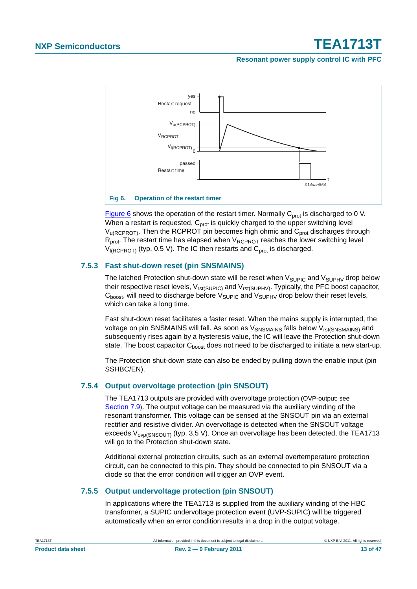### **Resonant power supply control IC with PFC**



<span id="page-12-1"></span>[Figure 6](#page-12-1) shows the operation of the restart timer. Normally  $C_{prot}$  is discharged to 0 V. When a restart is requested,  $C<sub>prot</sub>$  is quickly charged to the upper switching level  $V_{U(RCPROT)}$ . Then the RCPROT pin becomes high ohmic and  $C_{prot}$  discharges through  $R_{prot}$ . The restart time has elapsed when  $V_{RCPROT}$  reaches the lower switching level  $V_{\text{IRCPROT}}$  (typ. 0.5 V). The IC then restarts and  $C_{\text{prot}}$  is discharged.

### <span id="page-12-0"></span>**7.5.3 Fast shut-down reset (pin SNSMAINS)**

The latched Protection shut-down state will be reset when  $V_{\text{SUPIC}}$  and  $V_{\text{SUPHV}}$  drop below their respective reset levels,  $V_{rst(SUPIC)}$  and  $V_{rst(SUPHV)}$ . Typically, the PFC boost capacitor,  $C_{boost}$ , will need to discharge before  $V_{SUPIC}$  and  $V_{SUPHV}$  drop below their reset levels, which can take a long time.

Fast shut-down reset facilitates a faster reset. When the mains supply is interrupted, the voltage on pin SNSMAINS will fall. As soon as  $V_{SNSMAINS}$  falls below  $V_{rst(SNSMAINS)}$  and subsequently rises again by a hysteresis value, the IC will leave the Protection shut-down state. The boost capacitor  $C_{\text{boost}}$  does not need to be discharged to initiate a new start-up.

The Protection shut-down state can also be ended by pulling down the enable input (pin SSHBC/EN).

### <span id="page-12-2"></span>**7.5.4 Output overvoltage protection (pin SNSOUT)**

The TEA1713 outputs are provided with overvoltage protection (OVP-output; see [Section 7.9](#page-30-0)). The output voltage can be measured via the auxiliary winding of the resonant transformer. This voltage can be sensed at the SNSOUT pin via an external rectifier and resistive divider. An overvoltage is detected when the SNSOUT voltage exceeds  $V_{ovp(SNSOUT)}$  (typ. 3.5 V). Once an overvoltage has been detected, the TEA1713 will go to the Protection shut-down state.

Additional external protection circuits, such as an external overtemperature protection circuit, can be connected to this pin. They should be connected to pin SNSOUT via a diode so that the error condition will trigger an OVP event.

### <span id="page-12-3"></span>**7.5.5 Output undervoltage protection (pin SNSOUT)**

In applications where the TEA1713 is supplied from the auxiliary winding of the HBC transformer, a SUPIC undervoltage protection event (UVP-SUPIC) will be triggered automatically when an error condition results in a drop in the output voltage.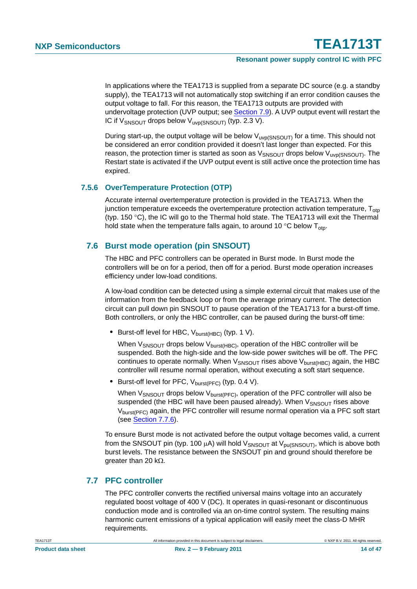In applications where the TEA1713 is supplied from a separate DC source (e.g. a standby supply), the TEA1713 will not automatically stop switching if an error condition causes the output voltage to fall. For this reason, the TEA1713 outputs are provided with undervoltage protection (UVP output; see [Section 7.9](#page-30-0)). A UVP output event will restart the IC if  $V_{SNSOUT}$  drops below  $V_{UVO(SNSOUT)}$  (typ. 2.3 V).

During start-up, the output voltage will be below  $V_{\text{uvp(SNSOUT)}}$  for a time. This should not be considered an error condition provided it doesn't last longer than expected. For this reason, the protection timer is started as soon as  $V_{SNSOUT}$  drops below  $V_{UVD}(SNSOUT)$ . The Restart state is activated if the UVP output event is still active once the protection time has expired.

### <span id="page-13-0"></span>**7.5.6 OverTemperature Protection (OTP)**

Accurate internal overtemperature protection is provided in the TEA1713. When the junction temperature exceeds the overtemperature protection activation temperature,  $T_{\text{otp}}$ (typ. 150 °C), the IC will go to the Thermal hold state. The TEA1713 will exit the Thermal hold state when the temperature falls again, to around 10  $\degree$ C below T<sub>oto</sub>.

### <span id="page-13-1"></span>**7.6 Burst mode operation (pin SNSOUT)**

The HBC and PFC controllers can be operated in Burst mode. In Burst mode the controllers will be on for a period, then off for a period. Burst mode operation increases efficiency under low-load conditions.

A low-load condition can be detected using a simple external circuit that makes use of the information from the feedback loop or from the average primary current. The detection circuit can pull down pin SNSOUT to pause operation of the TEA1713 for a burst-off time. Both controllers, or only the HBC controller, can be paused during the burst-off time:

• Burst-off level for HBC, V<sub>burst(HBC)</sub> (typ. 1 V).

When  $V_{SNSOUT}$  drops below  $V_{burst(HBC)}$ , operation of the HBC controller will be suspended. Both the high-side and the low-side power switches will be off. The PFC continues to operate normally. When  $V_{SNSOUT}$  rises above  $V_{burst(HBC)}$  again, the HBC controller will resume normal operation, without executing a soft start sequence.

• Burst-off level for PFC, V<sub>burst(PFC)</sub> (typ. 0.4 V).

When  $V_{SNSOUT}$  drops below  $V_{burst(PFC)}$ , operation of the PFC controller will also be suspended (the HBC will have been paused already). When  $V_{SNSOUT}$  rises above V<sub>burst(PFC)</sub> again, the PFC controller will resume normal operation via a PFC soft start (see [Section 7.7.6\)](#page-16-0).

To ensure Burst mode is not activated before the output voltage becomes valid, a current from the SNSOUT pin (typ. 100  $\mu$ A) will hold V<sub>SNSOUT</sub> at V<sub>pu(SNSOUT)</sub>, which is above both burst levels. The resistance between the SNSOUT pin and ground should therefore be greater than 20 kΩ.

### <span id="page-13-2"></span>**7.7 PFC controller**

The PFC controller converts the rectified universal mains voltage into an accurately regulated boost voltage of 400 V (DC). It operates in quasi-resonant or discontinuous conduction mode and is controlled via an on-time control system. The resulting mains harmonic current emissions of a typical application will easily meet the class-D MHR requirements.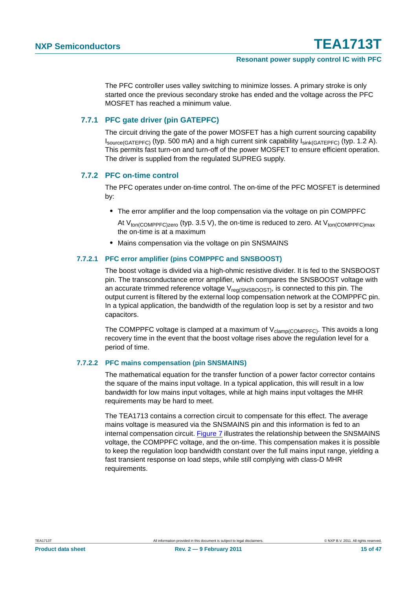The PFC controller uses valley switching to minimize losses. A primary stroke is only started once the previous secondary stroke has ended and the voltage across the PFC MOSFET has reached a minimum value.

### <span id="page-14-0"></span>**7.7.1 PFC gate driver (pin GATEPFC)**

The circuit driving the gate of the power MOSFET has a high current sourcing capability  $I_{\text{source(GATEPFC)}}$  (typ. 500 mA) and a high current sink capability  $I_{\text{sink(GATEPFC)}}$  (typ. 1.2 A). This permits fast turn-on and turn-off of the power MOSFET to ensure efficient operation. The driver is supplied from the regulated SUPREG supply.

### <span id="page-14-1"></span>**7.7.2 PFC on-time control**

The PFC operates under on-time control. The on-time of the PFC MOSFET is determined by:

**•** The error amplifier and the loop compensation via the voltage on pin COMPPFC

At  $V_{\text{ton/COMPPEC\,zero}}$  (typ. 3.5 V), the on-time is reduced to zero. At  $V_{\text{ton/COMPPEC}max}$ the on-time is at a maximum

**•** Mains compensation via the voltage on pin SNSMAINS

### <span id="page-14-2"></span>**7.7.2.1 PFC error amplifier (pins COMPPFC and SNSBOOST)**

The boost voltage is divided via a high-ohmic resistive divider. It is fed to the SNSBOOST pin. The transconductance error amplifier, which compares the SNSBOOST voltage with an accurate trimmed reference voltage  $V_{req(SNSBOOST)}$ , is connected to this pin. The output current is filtered by the external loop compensation network at the COMPPFC pin. In a typical application, the bandwidth of the regulation loop is set by a resistor and two capacitors.

The COMPPFC voltage is clamped at a maximum of  $V_{\text{clamp/COMPPEC}}$ . This avoids a long recovery time in the event that the boost voltage rises above the regulation level for a period of time.

### <span id="page-14-3"></span>**7.7.2.2 PFC mains compensation (pin SNSMAINS)**

The mathematical equation for the transfer function of a power factor corrector contains the square of the mains input voltage. In a typical application, this will result in a low bandwidth for low mains input voltages, while at high mains input voltages the MHR requirements may be hard to meet.

The TEA1713 contains a correction circuit to compensate for this effect. The average mains voltage is measured via the SNSMAINS pin and this information is fed to an internal compensation circuit. [Figure 7](#page-15-0) illustrates the relationship between the SNSMAINS voltage, the COMPPFC voltage, and the on-time. This compensation makes it is possible to keep the regulation loop bandwidth constant over the full mains input range, yielding a fast transient response on load steps, while still complying with class-D MHR requirements.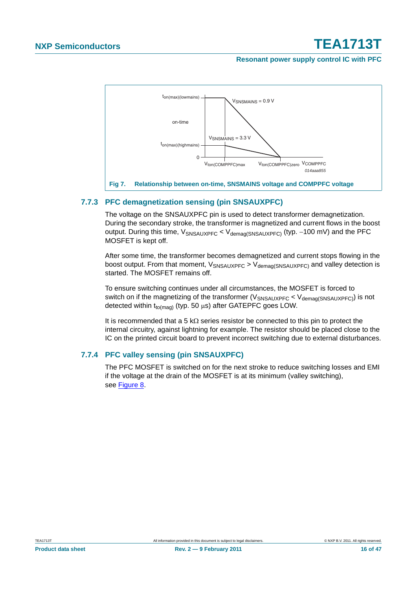#### **Resonant power supply control IC with PFC**



### <span id="page-15-1"></span><span id="page-15-0"></span>**7.7.3 PFC demagnetization sensing (pin SNSAUXPFC)**

The voltage on the SNSAUXPFC pin is used to detect transformer demagnetization. During the secondary stroke, the transformer is magnetized and current flows in the boost output. During this time, V<sub>SNSAUXPFC</sub> < V<sub>demaα</sub>(SNSAUXPFC) (typ. −100 mV) and the PFC MOSFET is kept off.

After some time, the transformer becomes demagnetized and current stops flowing in the boost output. From that moment,  $V_{SNSAUXPFC}$  >  $V_{demad(SNSAUXPFC)}$  and valley detection is started. The MOSFET remains off.

To ensure switching continues under all circumstances, the MOSFET is forced to switch on if the magnetizing of the transformer ( $V_{SNSALIXPEC}$   $V_{demag(SNSALIXPEC)}$ ) is not detected within  $t_{to(maa)}$  (typ. 50  $\mu$ s) after GATEPFC goes LOW.

It is recommended that a 5 kΩ series resistor be connected to this pin to protect the internal circuitry, against lightning for example. The resistor should be placed close to the IC on the printed circuit board to prevent incorrect switching due to external disturbances.

### <span id="page-15-2"></span>**7.7.4 PFC valley sensing (pin SNSAUXPFC)**

The PFC MOSFET is switched on for the next stroke to reduce switching losses and EMI if the voltage at the drain of the MOSFET is at its minimum (valley switching), see [Figure 8.](#page-16-1)

**Product data sheet 16 of 47 Rev. 2 — 9 February 2011 16 of 47 16 of 47**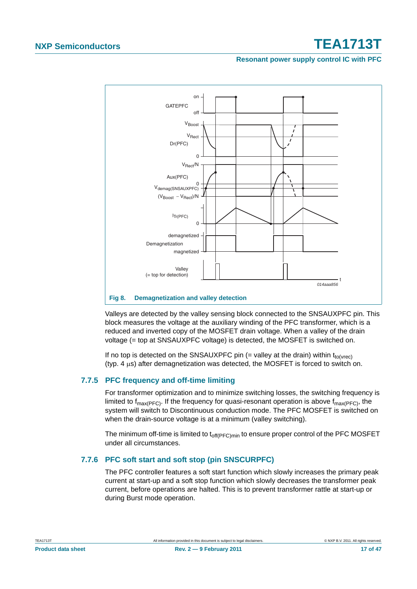### **Resonant power supply control IC with PFC**



<span id="page-16-1"></span>**Fig 8. Demagnetization and valley detection**

Valleys are detected by the valley sensing block connected to the SNSAUXPFC pin. This block measures the voltage at the auxiliary winding of the PFC transformer, which is a reduced and inverted copy of the MOSFET drain voltage. When a valley of the drain voltage (= top at SNSAUXPFC voltage) is detected, the MOSFET is switched on.

If no top is detected on the SNSAUXPFC pin (= valley at the drain) within  $t_{\text{to(vrec)}}$ (typ. 4 μs) after demagnetization was detected, the MOSFET is forced to switch on.

### <span id="page-16-2"></span>**7.7.5 PFC frequency and off-time limiting**

For transformer optimization and to minimize switching losses, the switching frequency is limited to  $f_{\text{max(PFC)}}$ . If the frequency for quasi-resonant operation is above  $f_{\text{max(PFC)}}$ , the system will switch to Discontinuous conduction mode. The PFC MOSFET is switched on when the drain-source voltage is at a minimum (valley switching).

The minimum off-time is limited to  $t_{off(PFC)min}$  to ensure proper control of the PFC MOSFET under all circumstances.

### <span id="page-16-0"></span>**7.7.6 PFC soft start and soft stop (pin SNSCURPFC)**

The PFC controller features a soft start function which slowly increases the primary peak current at start-up and a soft stop function which slowly decreases the transformer peak current, before operations are halted. This is to prevent transformer rattle at start-up or during Burst mode operation.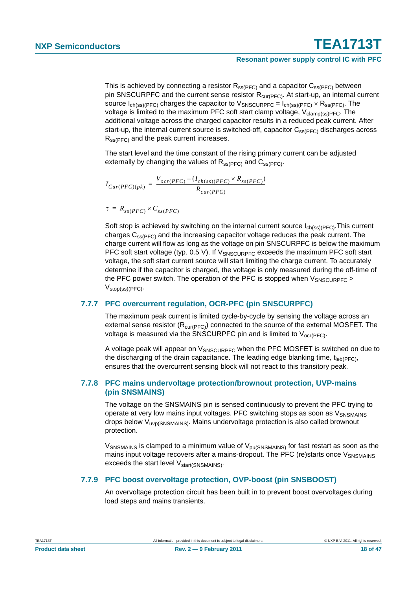This is achieved by connecting a resistor  $R_{ss(PFC)}$  and a capacitor  $C_{ss(PFC)}$  between pin SNSCURPFC and the current sense resistor  $R_{\text{cur(PFC)}}$ . At start-up, an internal current source  $I_{ch(ss)/PFC}$  charges the capacitor to  $V_{SNSCURPFC} = I_{ch(ss)/PFC} \times R_{ss(PFC)}$ . The voltage is limited to the maximum PFC soft start clamp voltage,  $V_{clamp(ss)PFC}$ . The additional voltage across the charged capacitor results in a reduced peak current. After start-up, the internal current source is switched-off, capacitor  $C_{ss(PFC)}$  discharges across  $R_{ss(PFC)}$  and the peak current increases.

The start level and the time constant of the rising primary current can be adjusted externally by changing the values of  $R_{ss(PFC)}$  and  $C_{ss(PFC)}$ .

$$
I_{Cur(PFC)(pk)} = \frac{V_{ocr(PFC)} - (I_{ch(ss)(PFC)} \times R_{ss(PFC)}}{R_{cur(PFC)}}
$$

$$
\tau = R_{ss(PFC)} \times C_{ss(PFC)}
$$

Soft stop is achieved by switching on the internal current source  $I_{ch(ss)/PFC}$ . This current charges  $C_{\text{ss(PFC)}}$  and the increasing capacitor voltage reduces the peak current. The charge current will flow as long as the voltage on pin SNSCURPFC is below the maximum PFC soft start voltage (typ. 0.5 V). If  $V_{SNSCURPFC}$  exceeds the maximum PFC soft start voltage, the soft start current source will start limiting the charge current. To accurately determine if the capacitor is charged, the voltage is only measured during the off-time of the PFC power switch. The operation of the PFC is stopped when  $V_{SNSCIIRPEC}$  > Vstop(ss)(PFC).

### <span id="page-17-0"></span>**7.7.7 PFC overcurrent regulation, OCR-PFC (pin SNSCURPFC)**

The maximum peak current is limited cycle-by-cycle by sensing the voltage across an external sense resistor  $(R_{\text{cur(PFC)}})$  connected to the source of the external MOSFET. The voltage is measured via the SNSCURPFC pin and is limited to  $V_{\text{ocr(PFC)}}$ .

A voltage peak will appear on  $V_{SNSCIIRPEC}$  when the PFC MOSFET is switched on due to the discharging of the drain capacitance. The leading edge blanking time,  $t_{\text{leb(PFC)}}$ , ensures that the overcurrent sensing block will not react to this transitory peak.

### <span id="page-17-1"></span>**7.7.8 PFC mains undervoltage protection/brownout protection, UVP-mains (pin SNSMAINS)**

The voltage on the SNSMAINS pin is sensed continuously to prevent the PFC trying to operate at very low mains input voltages. PFC switching stops as soon as V<sub>SNSMAINS</sub> drops below Vuvp(SNSMAINS). Mains undervoltage protection is also called brownout protection.

 $V_{\text{SNSMAINS}}$  is clamped to a minimum value of  $V_{\text{pu(SNSMAINS)}}$  for fast restart as soon as the mains input voltage recovers after a mains-dropout. The PFC (re)starts once V<sub>SNSMAINS</sub> exceeds the start level V<sub>start(SNSMAINS)</sub>.

### <span id="page-17-2"></span>**7.7.9 PFC boost overvoltage protection, OVP-boost (pin SNSBOOST)**

An overvoltage protection circuit has been built in to prevent boost overvoltages during load steps and mains transients.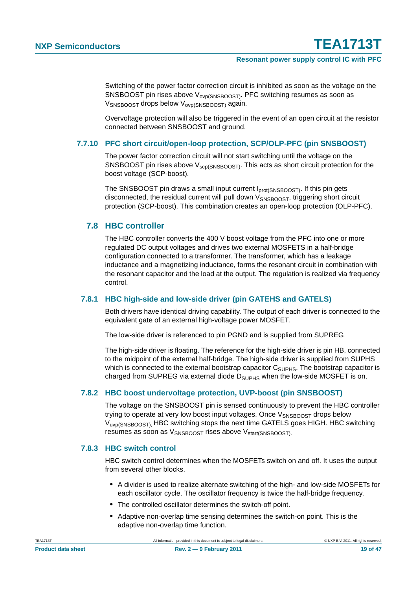Switching of the power factor correction circuit is inhibited as soon as the voltage on the SNSBOOST pin rises above V<sub>ovp(SNSBOOST)</sub>. PFC switching resumes as soon as VSNSBOOST drops below V<sub>ovp(SNSBOOST)</sub> again.

Overvoltage protection will also be triggered in the event of an open circuit at the resistor connected between SNSBOOST and ground.

### <span id="page-18-0"></span>**7.7.10 PFC short circuit/open-loop protection, SCP/OLP-PFC (pin SNSBOOST)**

The power factor correction circuit will not start switching until the voltage on the SNSBOOST pin rises above  $V_{\text{Sco(SNSBOOST)}}$ . This acts as short circuit protection for the boost voltage (SCP-boost).

The SNSBOOST pin draws a small input current I<sub>prot(SNSBOOST)</sub>. If this pin gets disconnected, the residual current will pull down  $V_{SNSBOOST}$ , triggering short circuit protection (SCP-boost). This combination creates an open-loop protection (OLP-PFC).

### <span id="page-18-2"></span>**7.8 HBC controller**

The HBC controller converts the 400 V boost voltage from the PFC into one or more regulated DC output voltages and drives two external MOSFETS in a half-bridge configuration connected to a transformer. The transformer, which has a leakage inductance and a magnetizing inductance, forms the resonant circuit in combination with the resonant capacitor and the load at the output. The regulation is realized via frequency control.

### <span id="page-18-3"></span>**7.8.1 HBC high-side and low-side driver (pin GATEHS and GATELS)**

Both drivers have identical driving capability. The output of each driver is connected to the equivalent gate of an external high-voltage power MOSFET.

The low-side driver is referenced to pin PGND and is supplied from SUPREG.

The high-side driver is floating. The reference for the high-side driver is pin HB, connected to the midpoint of the external half-bridge. The high-side driver is supplied from SUPHS which is connected to the external bootstrap capacitor  $C_{\text{SUPHS}}$ . The bootstrap capacitor is charged from SUPREG via external diode  $D_{\text{SUPHS}}$  when the low-side MOSFET is on.

### <span id="page-18-1"></span>**7.8.2 HBC boost undervoltage protection, UVP-boost (pin SNSBOOST)**

The voltage on the SNSBOOST pin is sensed continuously to prevent the HBC controller trying to operate at very low boost input voltages. Once V<sub>SNSBOOST</sub> drops below Vuvp(SNSBOOST), HBC switching stops the next time GATELS goes HIGH. HBC switching resumes as soon as V<sub>SNSBOOST</sub> rises above V<sub>start</sub>(SNSBOOST).

### <span id="page-18-4"></span>**7.8.3 HBC switch control**

HBC switch control determines when the MOSFETs switch on and off. It uses the output from several other blocks.

- **•** A divider is used to realize alternate switching of the high- and low-side MOSFETs for each oscillator cycle. The oscillator frequency is twice the half-bridge frequency.
- **•** The controlled oscillator determines the switch-off point.
- **•** Adaptive non-overlap time sensing determines the switch-on point. This is the adaptive non-overlap time function.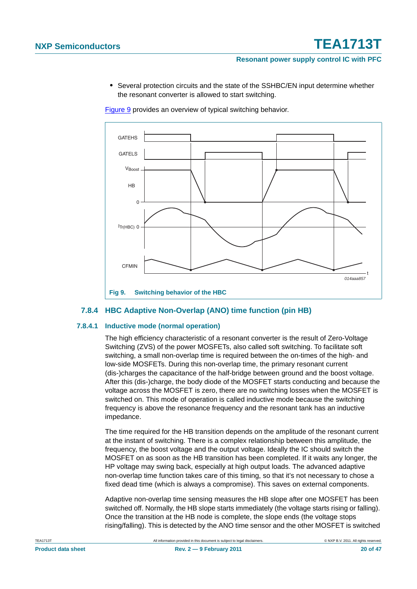**•** Several protection circuits and the state of the SSHBC/EN input determine whether the resonant converter is allowed to start switching.

[Figure 9](#page-19-0) provides an overview of typical switching behavior.



### <span id="page-19-1"></span><span id="page-19-0"></span>**7.8.4 HBC Adaptive Non-Overlap (ANO) time function (pin HB)**

### <span id="page-19-2"></span>**7.8.4.1 Inductive mode (normal operation)**

The high efficiency characteristic of a resonant converter is the result of Zero-Voltage Switching (ZVS) of the power MOSFETs, also called soft switching. To facilitate soft switching, a small non-overlap time is required between the on-times of the high- and low-side MOSFETs. During this non-overlap time, the primary resonant current (dis-)charges the capacitance of the half-bridge between ground and the boost voltage. After this (dis-)charge, the body diode of the MOSFET starts conducting and because the voltage across the MOSFET is zero, there are no switching losses when the MOSFET is switched on. This mode of operation is called inductive mode because the switching frequency is above the resonance frequency and the resonant tank has an inductive impedance.

The time required for the HB transition depends on the amplitude of the resonant current at the instant of switching. There is a complex relationship between this amplitude, the frequency, the boost voltage and the output voltage. Ideally the IC should switch the MOSFET on as soon as the HB transition has been completed. If it waits any longer, the HP voltage may swing back, especially at high output loads. The advanced adaptive non-overlap time function takes care of this timing, so that it's not necessary to chose a fixed dead time (which is always a compromise). This saves on external components.

Adaptive non-overlap time sensing measures the HB slope after one MOSFET has been switched off. Normally, the HB slope starts immediately (the voltage starts rising or falling). Once the transition at the HB node is complete, the slope ends (the voltage stops rising/falling). This is detected by the ANO time sensor and the other MOSFET is switched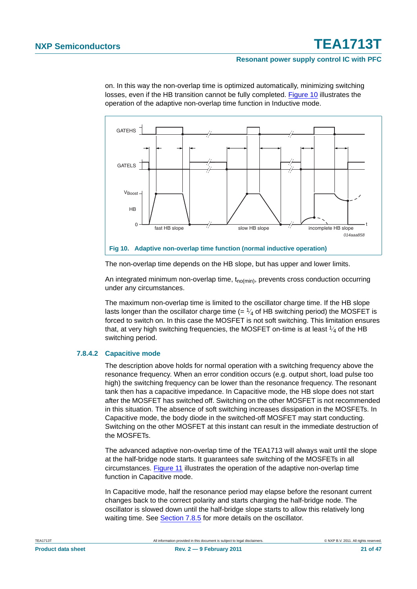#### **Resonant power supply control IC with PFC**



on. In this way the non-overlap time is optimized automatically, minimizing switching losses, even if the HB transition cannot be fully completed. [Figure 10](#page-20-0) illustrates the operation of the adaptive non-overlap time function in Inductive mode.

<span id="page-20-0"></span>The non-overlap time depends on the HB slope, but has upper and lower limits.

An integrated minimum non-overlap time,  $t_{no(min)}$ , prevents cross conduction occurring under any circumstances.

The maximum non-overlap time is limited to the oscillator charge time. If the HB slope lasts longer than the oscillator charge time  $(= \frac{1}{4}$  of HB switching period) the MOSFET is forced to switch on. In this case the MOSFET is not soft switching. This limitation ensures that, at very high switching frequencies, the MOSFET on-time is at least  $\frac{1}{4}$  of the HB switching period.

### <span id="page-20-1"></span>**7.8.4.2 Capacitive mode**

The description above holds for normal operation with a switching frequency above the resonance frequency. When an error condition occurs (e.g. output short, load pulse too high) the switching frequency can be lower than the resonance frequency. The resonant tank then has a capacitive impedance. In Capacitive mode, the HB slope does not start after the MOSFET has switched off. Switching on the other MOSFET is not recommended in this situation. The absence of soft switching increases dissipation in the MOSFETs. In Capacitive mode, the body diode in the switched-off MOSFET may start conducting. Switching on the other MOSFET at this instant can result in the immediate destruction of the MOSFETs.

The advanced adaptive non-overlap time of the TEA1713 will always wait until the slope at the half-bridge node starts. It guarantees safe switching of the MOSFETs in all circumstances. [Figure 11](#page-21-0) illustrates the operation of the adaptive non-overlap time function in Capacitive mode.

In Capacitive mode, half the resonance period may elapse before the resonant current changes back to the correct polarity and starts charging the half-bridge node. The oscillator is slowed down until the half-bridge slope starts to allow this relatively long waiting time. See [Section 7.8.5](#page-21-1) for more details on the oscillator.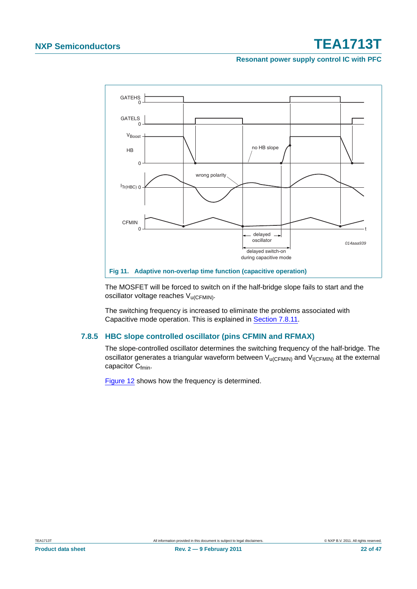**Resonant power supply control IC with PFC**



<span id="page-21-0"></span>The MOSFET will be forced to switch on if the half-bridge slope fails to start and the oscillator voltage reaches V<sub>u(CFMIN)</sub>.

The switching frequency is increased to eliminate the problems associated with Capacitive mode operation. This is explained in [Section 7.8.11](#page-29-0).

### <span id="page-21-1"></span>**7.8.5 HBC slope controlled oscillator (pins CFMIN and RFMAX)**

The slope-controlled oscillator determines the switching frequency of the half-bridge. The oscillator generates a triangular waveform between  $V_{\text{U(CFMIN)}}$  and  $V_{\text{I(CFMIN)}}$  at the external capacitor C<sub>fmin</sub>.

[Figure 12](#page-22-0) shows how the frequency is determined.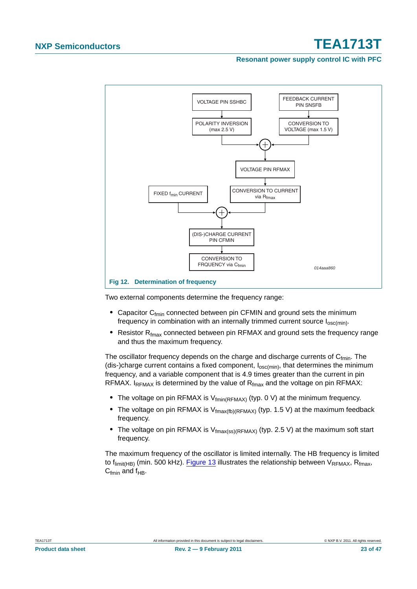#### **Resonant power supply control IC with PFC**



<span id="page-22-0"></span>Two external components determine the frequency range:

- Capacitor C<sub>fmin</sub> connected between pin CFMIN and ground sets the minimum frequency in combination with an internally trimmed current source  $I_{osc(min)}$ .
- Resistor R<sub>fmax</sub> connected between pin RFMAX and ground sets the frequency range and thus the maximum frequency.

The oscillator frequency depends on the charge and discharge currents of  $C_{fmin}$ . The (dis-)charge current contains a fixed component,  $I_{osc(min)}$ , that determines the minimum frequency, and a variable component that is 4.9 times greater than the current in pin RFMAX. I<sub>RFMAX</sub> is determined by the value of  $R_{fmax}$  and the voltage on pin RFMAX:

- The voltage on pin RFMAX is V<sub>fmin</sub>(RFMAX) (typ. 0 V) at the minimum frequency.
- The voltage on pin RFMAX is  $V_{\text{fmax(fb)}(RFMAX)}$  (typ. 1.5 V) at the maximum feedback frequency.
- The voltage on pin RFMAX is V<sub>fmax(ss)</sub>(RFMAX) (typ. 2.5 V) at the maximum soft start frequency.

The maximum frequency of the oscillator is limited internally. The HB frequency is limited to  $f_{limit(HB)}$  (min. 500 kHz). [Figure 13](#page-23-0) illustrates the relationship between  $V_{RFMAX}$ , R<sub>fmax</sub>,  $C_{fmin}$  and  $f_{HR}$ .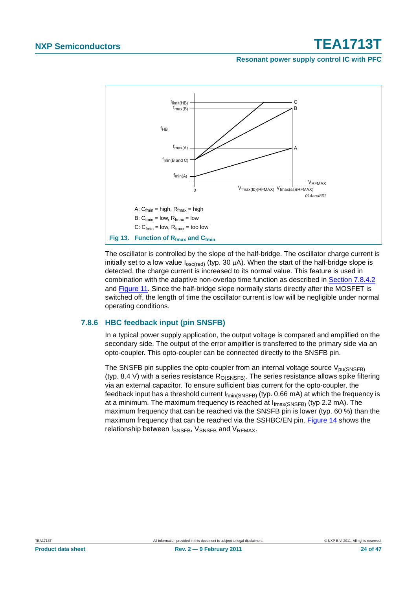### **Resonant power supply control IC with PFC**



<span id="page-23-0"></span>The oscillator is controlled by the slope of the half-bridge. The oscillator charge current is initially set to a low value  $I_{\text{osc (red)}}$  (typ. 30  $\mu$ A). When the start of the half-bridge slope is detected, the charge current is increased to its normal value. This feature is used in combination with the adaptive non-overlap time function as described in [Section 7.8.4.2](#page-20-1) and [Figure 11](#page-21-0). Since the half-bridge slope normally starts directly after the MOSFET is switched off, the length of time the oscillator current is low will be negligible under normal operating conditions.

### <span id="page-23-1"></span>**7.8.6 HBC feedback input (pin SNSFB)**

In a typical power supply application, the output voltage is compared and amplified on the secondary side. The output of the error amplifier is transferred to the primary side via an opto-coupler. This opto-coupler can be connected directly to the SNSFB pin.

The SNSFB pin supplies the opto-coupler from an internal voltage source  $V_{\text{pu(SNSFB)}}$ (typ. 8.4 V) with a series resistance  $R_{O(SNSFB)}$ . The series resistance allows spike filtering via an external capacitor. To ensure sufficient bias current for the opto-coupler, the feedback input has a threshold current  $I_{fmin(SNSFB)}$  (typ. 0.66 mA) at which the frequency is at a minimum. The maximum frequency is reached at  $I_{\text{fmax(SNSFB)}}$  (typ 2.2 mA). The maximum frequency that can be reached via the SNSFB pin is lower (typ. 60 %) than the maximum frequency that can be reached via the SSHBC/EN pin. [Figure 14](#page-24-0) shows the relationship between ISNSFB, VSNSFB and VRFMAX.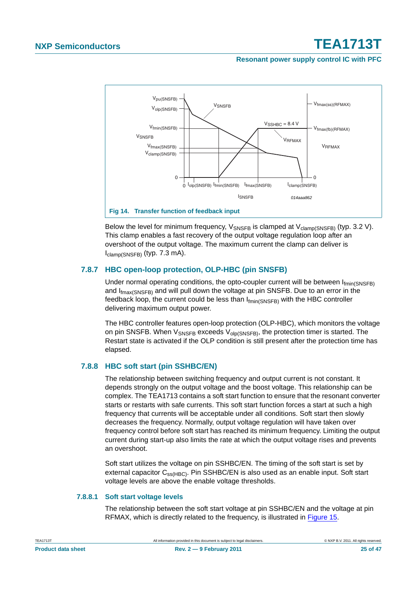**Resonant power supply control IC with PFC**



<span id="page-24-0"></span>Below the level for minimum frequency,  $V_{\text{SNSFR}}$  is clamped at  $V_{\text{clamo(SNSFR)}}$  (typ. 3.2 V). This clamp enables a fast recovery of the output voltage regulation loop after an overshoot of the output voltage. The maximum current the clamp can deliver is  $I_{clamp(SNSFB)}$  (typ. 7.3 mA).

### <span id="page-24-1"></span>**7.8.7 HBC open-loop protection, OLP-HBC (pin SNSFB)**

Under normal operating conditions, the opto-coupler current will be between  $I_{fmin(SNSFB)}$ and I<sub>fmax(SNSFB)</sub> and will pull down the voltage at pin SNSFB. Due to an error in the feedback loop, the current could be less than  $I_{fmin(SNSFB)}$  with the HBC controller delivering maximum output power.

The HBC controller features open-loop protection (OLP-HBC), which monitors the voltage on pin SNSFB. When  $V_{\text{SNSFB}}$  exceeds  $V_{\text{olp(SNSFB)}}$ , the protection timer is started. The Restart state is activated if the OLP condition is still present after the protection time has elapsed.

### <span id="page-24-2"></span>**7.8.8 HBC soft start (pin SSHBC/EN)**

The relationship between switching frequency and output current is not constant. It depends strongly on the output voltage and the boost voltage. This relationship can be complex. The TEA1713 contains a soft start function to ensure that the resonant converter starts or restarts with safe currents. This soft start function forces a start at such a high frequency that currents will be acceptable under all conditions. Soft start then slowly decreases the frequency. Normally, output voltage regulation will have taken over frequency control before soft start has reached its minimum frequency. Limiting the output current during start-up also limits the rate at which the output voltage rises and prevents an overshoot.

Soft start utilizes the voltage on pin SSHBC/EN. The timing of the soft start is set by external capacitor  $C_{ss(HBC)}$ . Pin SSHBC/EN is also used as an enable input. Soft start voltage levels are above the enable voltage thresholds.

### <span id="page-24-3"></span>**7.8.8.1 Soft start voltage levels**

The relationship between the soft start voltage at pin SSHBC/EN and the voltage at pin RFMAX, which is directly related to the frequency, is illustrated in [Figure 15.](#page-25-0)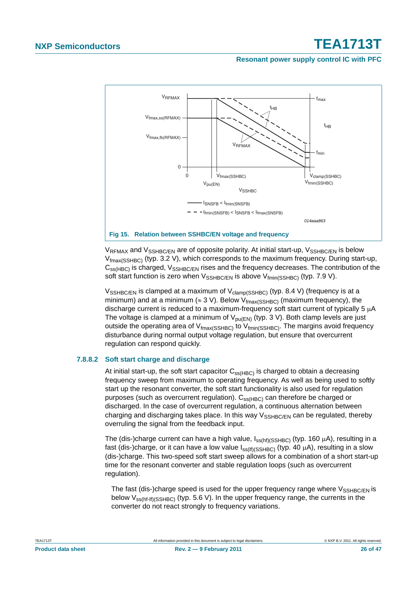**Resonant power supply control IC with PFC**



<span id="page-25-0"></span> $V_{\text{RFMAX}}$  and  $V_{\text{SSHBC/FN}}$  are of opposite polarity. At initial start-up,  $V_{\text{SSHBC/FN}}$  is below  $V_{\text{fmax(SSHBC)}}$  (typ. 3.2 V), which corresponds to the maximum frequency. During start-up,  $C_{ss(HBC)}$  is charged,  $V_{SSHBC/EN}$  rises and the frequency decreases. The contribution of the soft start function is zero when  $V_{\text{SSHBC/EN}}$  is above  $V_{\text{fmin}(\text{SSHBC})}$  (typ. 7.9 V).

 $V_{\text{SSHBCEN}}$  is clamped at a maximum of  $V_{\text{clamp}(\text{SSHBC})}$  (typ. 8.4 V) (frequency is at a minimum) and at a minimum ( $\approx 3$  V). Below V<sub>fmax(SSHBC)</sub> (maximum frequency), the discharge current is reduced to a maximum-frequency soft start current of typically 5 μA The voltage is clamped at a minimum of  $V_{\text{DII}(FN)}$  (typ. 3 V). Both clamp levels are just outside the operating area of  $V_{\text{fmax}(\text{SSHBC})}$  to  $V_{\text{fmin}(\text{SSHBC})}$ . The margins avoid frequency disturbance during normal output voltage regulation, but ensure that overcurrent regulation can respond quickly.

### <span id="page-25-1"></span>**7.8.8.2 Soft start charge and discharge**

At initial start-up, the soft start capacitor  $C_{ss(HBC)}$  is charged to obtain a decreasing frequency sweep from maximum to operating frequency. As well as being used to softly start up the resonant converter, the soft start functionality is also used for regulation purposes (such as overcurrent regulation).  $C_{SS(HBC)}$  can therefore be charged or discharged. In the case of overcurrent regulation, a continuous alternation between charging and discharging takes place. In this way  $V_{\text{SSHBC/FN}}$  can be regulated, thereby overruling the signal from the feedback input.

The (dis-)charge current can have a high value,  $I_{ss(hf)(SSHBC)}$  (typ. 160 μA), resulting in a fast (dis-)charge, or it can have a low value  $I_{ss(f)(SSHBC)}$  (typ. 40  $\mu$ A), resulting in a slow (dis-)charge. This two-speed soft start sweep allows for a combination of a short start-up time for the resonant converter and stable regulation loops (such as overcurrent regulation).

The fast (dis-)charge speed is used for the upper frequency range where  $V_{\text{SSHRC/EN}}$  is below V<sub>ss(hf-lf)(SSHBC)</sub> (typ. 5.6 V). In the upper frequency range, the currents in the converter do not react strongly to frequency variations.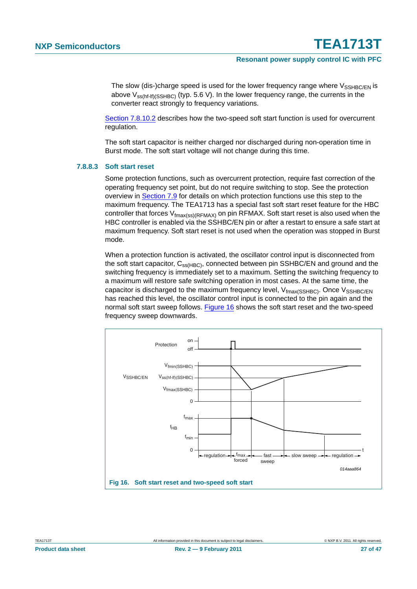The slow (dis-)charge speed is used for the lower frequency range where  $V_{\text{SSHBC/FN}}$  is above  $V_{ss(hf-ff)(SSHBC)}$  (typ. 5.6 V). In the lower frequency range, the currents in the converter react strongly to frequency variations.

[Section 7.8.10.2](#page-28-0) describes how the two-speed soft start function is used for overcurrent regulation.

The soft start capacitor is neither charged nor discharged during non-operation time in Burst mode. The soft start voltage will not change during this time.

#### <span id="page-26-1"></span>**7.8.8.3 Soft start reset**

Some protection functions, such as overcurrent protection, require fast correction of the operating frequency set point, but do not require switching to stop. See the protection overview in [Section 7.9](#page-30-0) for details on which protection functions use this step to the maximum frequency. The TEA1713 has a special fast soft start reset feature for the HBC controller that forces  $V_{\text{fmax}(ss)(RFMAX)}$  on pin RFMAX. Soft start reset is also used when the HBC controller is enabled via the SSHBC/EN pin or after a restart to ensure a safe start at maximum frequency. Soft start reset is not used when the operation was stopped in Burst mode.

When a protection function is activated, the oscillator control input is disconnected from the soft start capacitor,  $C_{ss(HBC)}$ , connected between pin SSHBC/EN and ground and the switching frequency is immediately set to a maximum. Setting the switching frequency to a maximum will restore safe switching operation in most cases. At the same time, the capacitor is discharged to the maximum frequency level,  $V_{\text{fmax}}$ (SSHBC). Once  $V_{\text{SSHRC/FN}}$ has reached this level, the oscillator control input is connected to the pin again and the normal soft start sweep follows. [Figure 16](#page-26-0) shows the soft start reset and the two-speed frequency sweep downwards.

<span id="page-26-0"></span>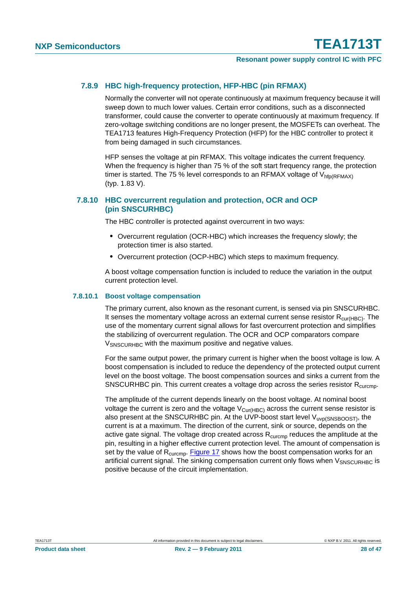### <span id="page-27-0"></span>**7.8.9 HBC high-frequency protection, HFP-HBC (pin RFMAX)**

Normally the converter will not operate continuously at maximum frequency because it will sweep down to much lower values. Certain error conditions, such as a disconnected transformer, could cause the converter to operate continuously at maximum frequency. If zero-voltage switching conditions are no longer present, the MOSFETs can overheat. The TEA1713 features High-Frequency Protection (HFP) for the HBC controller to protect it from being damaged in such circumstances.

HFP senses the voltage at pin RFMAX. This voltage indicates the current frequency. When the frequency is higher than 75 % of the soft start frequency range, the protection timer is started. The 75 % level corresponds to an RFMAX voltage of  $V_{\text{hfn}(\text{RFMAX})}$ (typ. 1.83 V).

### <span id="page-27-1"></span>**7.8.10 HBC overcurrent regulation and protection, OCR and OCP (pin SNSCURHBC)**

The HBC controller is protected against overcurrent in two ways:

- **•** Overcurrent regulation (OCR-HBC) which increases the frequency slowly; the protection timer is also started.
- **•** Overcurrent protection (OCP-HBC) which steps to maximum frequency.

A boost voltage compensation function is included to reduce the variation in the output current protection level.

#### <span id="page-27-2"></span>**7.8.10.1 Boost voltage compensation**

The primary current, also known as the resonant current, is sensed via pin SNSCURHBC. It senses the momentary voltage across an external current sense resistor  $R_{\text{cur(HBC)}}$ . The use of the momentary current signal allows for fast overcurrent protection and simplifies the stabilizing of overcurrent regulation. The OCR and OCP comparators compare V<sub>SNSCURHBC</sub> with the maximum positive and negative values.

For the same output power, the primary current is higher when the boost voltage is low. A boost compensation is included to reduce the dependency of the protected output current level on the boost voltage. The boost compensation sources and sinks a current from the SNSCURHBC pin. This current creates a voltage drop across the series resistor  $R_{\text{curcmo}}$ .

The amplitude of the current depends linearly on the boost voltage. At nominal boost voltage the current is zero and the voltage  $V_{\text{Cur(HBC)}}$  across the current sense resistor is also present at the SNSCURHBC pin. At the UVP-boost start level V<sub>uvp(SNSBOOST)</sub>, the current is at a maximum. The direction of the current, sink or source, depends on the active gate signal. The voltage drop created across  $R_{\text{curcmp}}$  reduces the amplitude at the pin, resulting in a higher effective current protection level. The amount of compensation is set by the value of  $R_{\text{curcmp}}$ . [Figure 17](#page-28-1) shows how the boost compensation works for an artificial current signal. The sinking compensation current only flows when  $V_{SNSCIIRHEC}$  is positive because of the circuit implementation.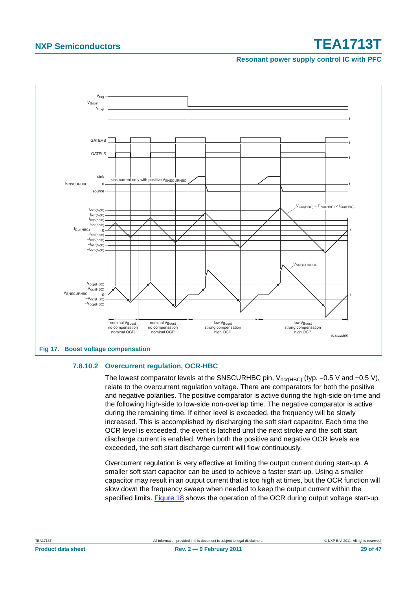### **Resonant power supply control IC with PFC**



### <span id="page-28-1"></span><span id="page-28-0"></span>**7.8.10.2 Overcurrent regulation, OCR-HBC**

The lowest comparator levels at the SNSCURHBC pin,  $V_{\text{ocr(HBC)}}$  (typ. -0.5 V and +0.5 V), relate to the overcurrent regulation voltage. There are comparators for both the positive and negative polarities. The positive comparator is active during the high-side on-time and the following high-side to low-side non-overlap time. The negative comparator is active during the remaining time. If either level is exceeded, the frequency will be slowly increased. This is accomplished by discharging the soft start capacitor. Each time the OCR level is exceeded, the event is latched until the next stroke and the soft start discharge current is enabled. When both the positive and negative OCR levels are exceeded, the soft start discharge current will flow continuously.

Overcurrent regulation is very effective at limiting the output current during start-up. A smaller soft start capacitor can be used to achieve a faster start-up. Using a smaller capacitor may result in an output current that is too high at times, but the OCR function will slow down the frequency sweep when needed to keep the output current within the specified limits. [Figure 18](#page-29-1) shows the operation of the OCR during output voltage start-up.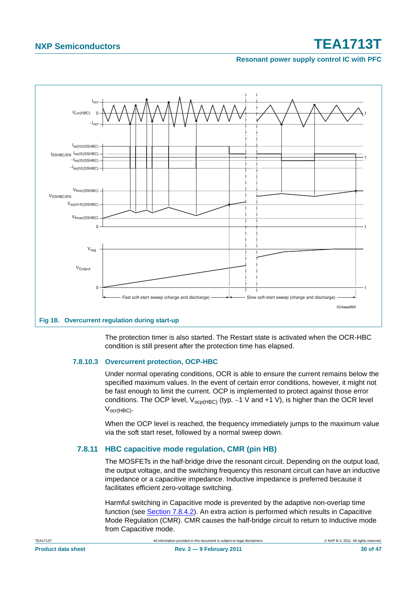### **Resonant power supply control IC with PFC**



<span id="page-29-1"></span>

The protection timer is also started. The Restart state is activated when the OCR-HBC condition is still present after the protection time has elapsed.

### <span id="page-29-2"></span>**7.8.10.3 Overcurrent protection, OCP-HBC**

Under normal operating conditions, OCR is able to ensure the current remains below the specified maximum values. In the event of certain error conditions, however, it might not be fast enough to limit the current. OCP is implemented to protect against those error conditions. The OCP level,  $V_{ocp(HBC)}$  (typ. -1 V and +1 V), is higher than the OCR level Vocr(HBC).

When the OCP level is reached, the frequency immediately jumps to the maximum value via the soft start reset, followed by a normal sweep down.

### <span id="page-29-0"></span>**7.8.11 HBC capacitive mode regulation, CMR (pin HB)**

The MOSFETs in the half-bridge drive the resonant circuit. Depending on the output load, the output voltage, and the switching frequency this resonant circuit can have an inductive impedance or a capacitive impedance. Inductive impedance is preferred because it facilitates efficient zero-voltage switching.

Harmful switching in Capacitive mode is prevented by the adaptive non-overlap time function (see [Section 7.8.4.2\)](#page-20-1). An extra action is performed which results in Capacitive Mode Regulation (CMR). CMR causes the half-bridge circuit to return to Inductive mode from Capacitive mode.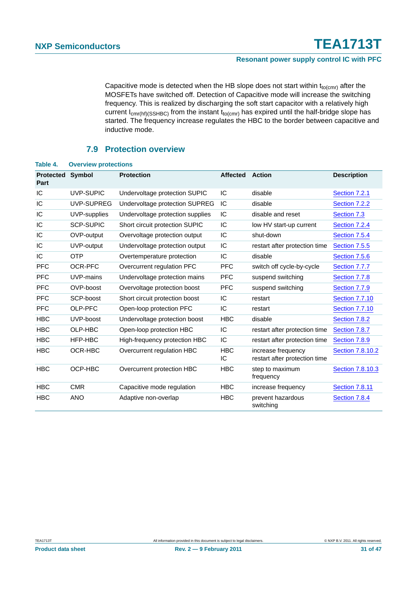Capacitive mode is detected when the HB slope does not start within  $t_{\text{to}}$  after the MOSFETs have switched off. Detection of Capacitive mode will increase the switching frequency. This is realized by discharging the soft start capacitor with a relatively high current  $I_{cmr(hf)(SSHBC)}$  from the instant  $t_{to(cmr)}$  has expired until the half-bridge slope has started. The frequency increase regulates the HBC to the border between capacitive and inductive mode.

### **7.9 Protection overview**

| TADI <del>C</del> 4.     | <b>OVERVIEW DRUGGLIONS</b> |                                  |                  |                                                     |                       |
|--------------------------|----------------------------|----------------------------------|------------------|-----------------------------------------------------|-----------------------|
| <b>Protected</b><br>Part | <b>Symbol</b>              | <b>Protection</b>                | <b>Affected</b>  | <b>Action</b>                                       | <b>Description</b>    |
| IC                       | UVP-SUPIC                  | Undervoltage protection SUPIC    | IC               | disable                                             | Section 7.2.1         |
| IC                       | UVP-SUPREG                 | Undervoltage protection SUPREG   | IC               | disable                                             | Section 7.2.2         |
| IC                       | UVP-supplies               | Undervoltage protection supplies | IC               | disable and reset                                   | Section 7.3           |
| IC                       | <b>SCP-SUPIC</b>           | Short circuit protection SUPIC   | IC               | low HV start-up current                             | Section 7.2.4         |
| IC                       | OVP-output                 | Overvoltage protection output    | IC               | shut-down                                           | Section 7.5.4         |
| IC                       | UVP-output                 | Undervoltage protection output   | IC               | restart after protection time                       | Section 7.5.5         |
| IC                       | <b>OTP</b>                 | Overtemperature protection       | IC               | disable                                             | Section 7.5.6         |
| <b>PFC</b>               | OCR-PFC                    | Overcurrent regulation PFC       | <b>PFC</b>       | switch off cycle-by-cycle                           | Section 7.7.7         |
| <b>PFC</b>               | UVP-mains                  | Undervoltage protection mains    | <b>PFC</b>       | suspend switching                                   | Section 7.7.8         |
| <b>PFC</b>               | OVP-boost                  | Overvoltage protection boost     | <b>PFC</b>       | suspend switching                                   | Section 7.7.9         |
| <b>PFC</b>               | SCP-boost                  | Short circuit protection boost   | IC               | restart                                             | <b>Section 7.7.10</b> |
| <b>PFC</b>               | OLP-PFC                    | Open-loop protection PFC         | IC               | restart                                             | <b>Section 7.7.10</b> |
| <b>HBC</b>               | UVP-boost                  | Undervoltage protection boost    | <b>HBC</b>       | disable                                             | Section 7.8.2         |
| <b>HBC</b>               | OLP-HBC                    | Open-loop protection HBC         | IC               | restart after protection time                       | Section 7.8.7         |
| <b>HBC</b>               | HFP-HBC                    | High-frequency protection HBC    | IC               | restart after protection time                       | Section 7.8.9         |
| <b>HBC</b>               | OCR-HBC                    | Overcurrent regulation HBC       | <b>HBC</b><br>IС | increase frequency<br>restart after protection time | Section 7.8.10.2      |
| <b>HBC</b>               | OCP-HBC                    | Overcurrent protection HBC       | <b>HBC</b>       | step to maximum<br>frequency                        | Section 7.8.10.3      |
| <b>HBC</b>               | <b>CMR</b>                 | Capacitive mode regulation       | <b>HBC</b>       | increase frequency                                  | <b>Section 7.8.11</b> |
| <b>HBC</b>               | <b>ANO</b>                 | Adaptive non-overlap             | <b>HBC</b>       | prevent hazardous<br>switching                      | Section 7.8.4         |

### <span id="page-30-0"></span>**Table 4. Overview protections**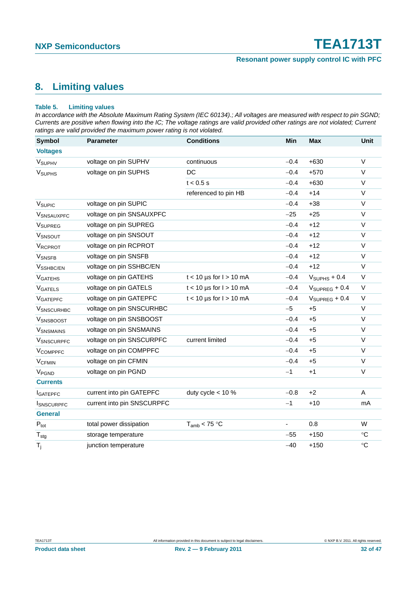### <span id="page-31-0"></span>**8. Limiting values**

#### **Table 5. Limiting values**

*In accordance with the Absolute Maximum Rating System (IEC 60134).; All voltages are measured with respect to pin SGND; Currents are positive when flowing into the IC; The voltage ratings are valid provided other ratings are not violated; Current ratings are valid provided the maximum power rating is not violated.*

| <b>Symbol</b>              | <b>Parameter</b>           | <b>Conditions</b>           | Min            | <b>Max</b>                | <b>Unit</b>     |
|----------------------------|----------------------------|-----------------------------|----------------|---------------------------|-----------------|
| <b>Voltages</b>            |                            |                             |                |                           |                 |
| V <sub>SUPHV</sub>         | voltage on pin SUPHV       | continuous                  | $-0.4$         | $+630$                    | $\mathsf{V}$    |
| <b>V<sub>SUPHS</sub></b>   | voltage on pin SUPHS       | DC                          | $-0.4$         | $+570$                    | $\vee$          |
|                            |                            | $t < 0.5$ s                 | $-0.4$         | $+630$                    | $\vee$          |
|                            |                            | referenced to pin HB        | $-0.4$         | $+14$                     | $\vee$          |
| V <sub>SUPIC</sub>         | voltage on pin SUPIC       |                             | $-0.4$         | $+38$                     | V               |
| <b>V</b> SNSAUXPFC         | voltage on pin SNSAUXPFC   |                             | $-25$          | $+25$                     | $\vee$          |
| <b>V<sub>SUPREG</sub></b>  | voltage on pin SUPREG      |                             | $-0.4$         | $+12$                     | V               |
| VSNSOUT                    | voltage on pin SNSOUT      |                             | $-0.4$         | $+12$                     | $\vee$          |
| <b>VRCPROT</b>             | voltage on pin RCPROT      |                             | $-0.4$         | $+12$                     | $\vee$          |
| <b>V</b> SNSFB             | voltage on pin SNSFB       |                             | $-0.4$         | $+12$                     | $\vee$          |
| V <sub>SSHBC/EN</sub>      | voltage on pin SSHBC/EN    |                             | $-0.4$         | $+12$                     | $\vee$          |
| <b>V</b> GATEHS            | voltage on pin GATEHS      | $t < 10$ µs for $l > 10$ mA | $-0.4$         | $VSUPHS + 0.4$            | $\vee$          |
| <b>VGATELS</b>             | voltage on pin GATELS      | $t < 10$ µs for $l > 10$ mA | $-0.4$         | $V_{\text{SUPREG}} + 0.4$ | $\vee$          |
| <b>VGATEPFC</b>            | voltage on pin GATEPFC     | $t < 10$ µs for $l > 10$ mA | $-0.4$         | $V_{\text{SUPREG}} + 0.4$ | $\vee$          |
| <b>V</b> SNSCURHBC         | voltage on pin SNSCURHBC   |                             | $-5$           | $+5$                      | $\vee$          |
| VSNSBOOST                  | voltage on pin SNSBOOST    |                             | $-0.4$         | $+5$                      | $\vee$          |
| <b>V</b> SNSMAINS          | voltage on pin SNSMAINS    |                             | $-0.4$         | $+5$                      | $\vee$          |
| <b>VSNSCURPFC</b>          | voltage on pin SNSCURPFC   | current limited             | $-0.4$         | $+5$                      | $\vee$          |
| <b>V<sub>COMPPFC</sub></b> | voltage on pin COMPPFC     |                             | $-0.4$         | $+5$                      | $\vee$          |
| <b>V<sub>CFMIN</sub></b>   | voltage on pin CFMIN       |                             | $-0.4$         | $+5$                      | $\vee$          |
| V <sub>PGND</sub>          | voltage on pin PGND        |                             | $-1$           | $+1$                      | $\vee$          |
| <b>Currents</b>            |                            |                             |                |                           |                 |
| <b>I</b> GATEPFC           | current into pin GATEPFC   | duty cycle $<$ 10 %         | $-0.8$         | $+2$                      | A               |
| <b>ISNSCURPFC</b>          | current into pin SNSCURPFC |                             | $-1$           | $+10$                     | mA              |
| <b>General</b>             |                            |                             |                |                           |                 |
| $P_{\text{tot}}$           | total power dissipation    | $T_{amb}$ < 75 °C           | $\blacksquare$ | 0.8                       | W               |
| $T_{\text{stg}}$           | storage temperature        |                             | $-55$          | $+150$                    | $\rm ^{\circ}C$ |
| $T_i$                      | junction temperature       |                             | $-40$          | $+150$                    | $\circ$ C       |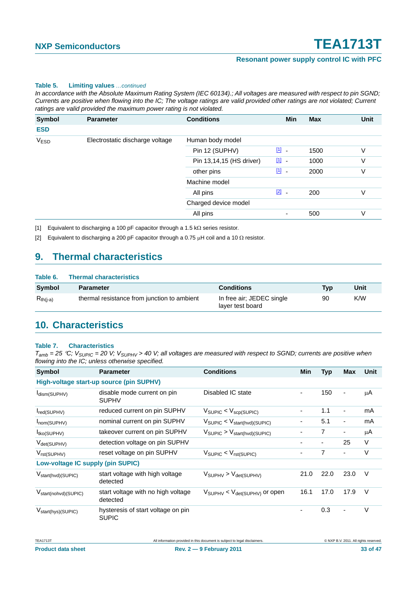#### **Table 5. Limiting values** *…continued*

*In accordance with the Absolute Maximum Rating System (IEC 60134).; All voltages are measured with respect to pin SGND; Currents are positive when flowing into the IC; The voltage ratings are valid provided other ratings are not violated; Current ratings are valid provided the maximum power rating is not violated.*

| Symbol      | <b>Parameter</b>                | <b>Conditions</b>        | <b>Min</b>                              | <b>Max</b> | <b>Unit</b> |
|-------------|---------------------------------|--------------------------|-----------------------------------------|------------|-------------|
| <b>ESD</b>  |                                 |                          |                                         |            |             |
| <b>VESD</b> | Electrostatic discharge voltage | Human body model         |                                         |            |             |
|             |                                 | Pin 12 (SUPHV)           | <u>[1]</u><br>$\overline{\phantom{a}}$  | 1500       | V           |
|             |                                 | Pin 13,14,15 (HS driver) | $\boxed{1}$                             | 1000       | ٧           |
|             |                                 | other pins               | $\boxed{1}$                             | 2000       | V           |
|             |                                 | Machine model            |                                         |            |             |
|             |                                 | All pins                 | $\boxed{2}$<br>$\overline{\phantom{a}}$ | 200        | ٧           |
|             |                                 | Charged device model     |                                         |            |             |
|             |                                 | All pins                 |                                         | 500        | V           |

<span id="page-32-0"></span>[1] Equivalent to discharging a 100 pF capacitor through a 1.5 kΩ series resistor.

<span id="page-32-1"></span>[2] Equivalent to discharging a 200 pF capacitor through a 0.75  $\mu$ H coil and a 10  $\Omega$  resistor.

### <span id="page-32-2"></span>**9. Thermal characteristics**

#### **Table 6. Thermal characteristics**

| Symbol        | <b>Parameter</b>                            | <b>Conditions</b>                             | <b>Typ</b> | Unit |
|---------------|---------------------------------------------|-----------------------------------------------|------------|------|
| $R_{th(i-a)}$ | thermal resistance from junction to ambient | In free air; JEDEC single<br>layer test board | 90         | K/W  |

### <span id="page-32-3"></span>**10. Characteristics**

#### **Table 7. Characteristics**

| <b>Symbol</b>                     | <b>Parameter</b>                                   | <b>Conditions</b>                                  | Min  | <b>Typ</b>     | <b>Max</b>                   | Unit   |
|-----------------------------------|----------------------------------------------------|----------------------------------------------------|------|----------------|------------------------------|--------|
|                                   | High-voltage start-up source (pin SUPHV)           |                                                    |      |                |                              |        |
| Idism(SUPHV)                      | disable mode current on pin<br><b>SUPHV</b>        | Disabled IC state                                  | ۰    | 150            | $\overline{\phantom{a}}$     | μA     |
| red(SUPHV)                        | reduced current on pin SUPHV                       | $V_{\text{SUPIC}} < V_{\text{scp(SUPIC)}}$         |      | 1.1            | $\qquad \qquad \blacksquare$ | mA     |
| Inom(SUPHV)                       | nominal current on pin SUPHV                       | $V_{\text{SUPIC}} < V_{\text{start(hvd)(SUPIC)}}$  | ۰    | 5.1            | $\overline{\phantom{a}}$     | mA     |
| $I_{tkO}$ (SUPHV)                 | takeover current on pin SUPHV                      | $V_{\text{SUPIC}} > V_{\text{start(hvd)(SUPIC)}}$  |      | $\overline{7}$ | -                            | μA     |
| $V_{\text{det(SUPHV)}}$           | detection voltage on pin SUPHV                     |                                                    |      |                | 25                           | $\vee$ |
| $V_{rst(SUPHV)}$                  | reset voltage on pin SUPHV                         | $V_{\text{SUPIC}} < V_{\text{rst(SUPIC)}}$         |      | $\overline{7}$ | ٠                            | $\vee$ |
| Low-voltage IC supply (pin SUPIC) |                                                    |                                                    |      |                |                              |        |
| V <sub>start(hvd)</sub> (SUPIC)   | start voltage with high voltage<br>detected        | $V_{\text{SUPHV}} > V_{\text{det(SUPHV)}}$         | 21.0 | 22.0           | 23.0                         | V      |
| V <sub>start(nohvd)</sub> (SUPIC) | start voltage with no high voltage<br>detected     | $V_{\text{SUPHV}} < V_{\text{det(SUPHV)}}$ or open | 16.1 | 17.0           | 17.9                         | $\vee$ |
| V <sub>start</sub> (hys)(SUPIC)   | hysteresis of start voltage on pin<br><b>SUPIC</b> |                                                    |      | 0.3            | $\overline{\phantom{a}}$     | $\vee$ |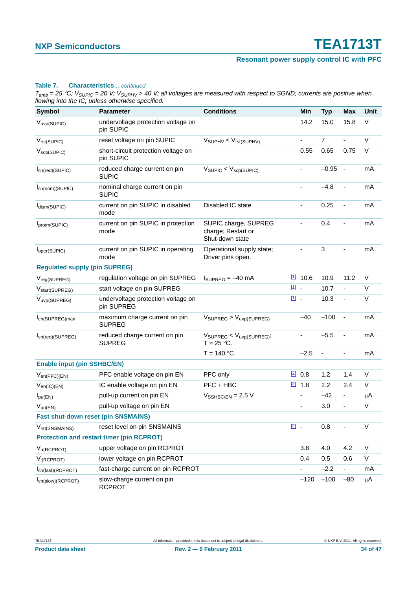### **Resonant power supply control IC with PFC**

#### **Table 7. Characteristics** *…continued*

| <b>Symbol</b>                              | <b>Parameter</b>                                 | <b>Conditions</b>                                             |               | Min                      | <b>Typ</b>               | Max                          | Unit   |
|--------------------------------------------|--------------------------------------------------|---------------------------------------------------------------|---------------|--------------------------|--------------------------|------------------------------|--------|
| $V_{\text{uvp(SUPIC)}}$                    | undervoltage protection voltage on<br>pin SUPIC  |                                                               |               | 14.2                     | 15.0                     | 15.8                         | $\vee$ |
| $V_{rst(SUPIC)}$                           | reset voltage on pin SUPIC                       | $V_{\text{SUPHV}} < V_{\text{rst(SUPHV)}}$                    |               | $\blacksquare$           | $\overline{7}$           | ä,                           | V      |
| $V_{\text{scp}(\text{SUPIC})}$             | short-circuit protection voltage on<br>pin SUPIC |                                                               |               | 0.55                     | 0.65                     | 0.75                         | $\vee$ |
| I <sub>ch</sub> (red)(SUPIC)               | reduced charge current on pin<br><b>SUPIC</b>    | $V_{\text{SUPIC}} < V_{\text{SCP(SUPIC)}}$                    |               |                          | $-0.95$                  | $\overline{\phantom{a}}$     | mA     |
| ch(nom)(SUPIC)                             | nominal charge current on pin<br><b>SUPIC</b>    |                                                               |               | $\overline{\phantom{a}}$ | $-4.8$                   | $\blacksquare$               | mA     |
| dism(SUPIC)                                | current on pin SUPIC in disabled<br>mode         | Disabled IC state                                             |               | $\blacksquare$           | 0.25                     |                              | mA     |
| protm(SUPIC)                               | current on pin SUPIC in protection<br>mode       | SUPIC charge, SUPREG<br>charge; Restart or<br>Shut-down state |               | ÷,                       | 0.4                      |                              | mA     |
| l <sub>oper</sub> (SUPIC)                  | current on pin SUPIC in operating<br>mode        | Operational supply state;<br>Driver pins open.                |               | ä,                       | 3                        |                              | mA     |
| <b>Regulated supply (pin SUPREG)</b>       |                                                  |                                                               |               |                          |                          |                              |        |
| V <sub>reg(SUPREG)</sub>                   | regulation voltage on pin SUPREG                 | $I_{\text{SUPREG}} = -40 \text{ mA}$                          |               | $11$ 10.6                | 10.9                     | 11.2                         | V      |
| V <sub>start</sub> (SUPREG)                | start voltage on pin SUPREG                      |                                                               | [1] -         |                          | 10.7                     | $\overline{a}$               | V      |
| V <sub>uvp</sub> (SUPREG)                  | undervoltage protection voltage on<br>pin SUPREG |                                                               | $\boxed{1}$   |                          | 10.3                     | ÷,                           | V      |
| I <sub>ch</sub> (SUPREG)max                | maximum charge current on pin<br><b>SUPREG</b>   | $V_{\text{SUPREG}} > V_{\text{uvp(SUPREG)}}$                  |               | $-40$                    | $-100$                   | ÷,                           | mA     |
| Ich(red)(SUPREG)                           | reduced charge current on pin<br><b>SUPREG</b>   | $V_{\text{SUPREG}} < V_{\text{uvp(SUPREG)}}$<br>$T = 25$ °C.  |               | $\blacksquare$           | $-5.5$                   | $\blacksquare$               | mA     |
|                                            |                                                  | $T = 140 °C$                                                  |               | $-2.5$                   | $\overline{\phantom{a}}$ | $\qquad \qquad \blacksquare$ | mA     |
| <b>Enable input (pin SSHBC/EN)</b>         |                                                  |                                                               |               |                          |                          |                              |        |
| $V_{en(PFC)(EN)}$                          | PFC enable voltage on pin EN                     | PFC only                                                      | $\boxed{2}$   | 0.8                      | 1.2                      | 1.4                          | V      |
| $V_{en(IC)(EN)}$                           | IC enable voltage on pin EN                      | PFC + HBC                                                     |               | $[2]$ 1.8                | 2.2                      | 2.4                          | $\vee$ |
| $I_{\text{pu(EN)}}$                        | pull-up current on pin EN                        | $V_{\text{SSHBC/EN}} = 2.5 \text{ V}$                         |               | $\frac{1}{2}$            | $-42$                    | $\qquad \qquad \blacksquare$ | μA     |
| $V_{pu(EN)}$                               | pull-up voltage on pin EN                        |                                                               |               | $\blacksquare$           | 3.0                      | ÷,                           | $\vee$ |
| <b>Fast shut-down reset (pin SNSMAINS)</b> |                                                  |                                                               |               |                          |                          |                              |        |
| V <sub>rst(SNSMAINS)</sub>                 | reset level on pin SNSMAINS                      |                                                               | $\boxed{2}$ . |                          | 0.8                      |                              | V      |
|                                            | <b>Protection and restart timer (pin RCPROT)</b> |                                                               |               |                          |                          |                              |        |
| $V_{\text{U}(RCPROT)}$                     | upper voltage on pin RCPROT                      |                                                               |               | 3.8                      | 4.0                      | 4.2                          | V      |
| $V_{I(RCPROT)}$                            | lower voltage on pin RCPROT                      |                                                               |               | 0.4                      | 0.5                      | 0.6                          | V      |
| ch(fast)(RCPROT)                           | fast-charge current on pin RCPROT                |                                                               |               |                          | $-2.2$                   | $\blacksquare$               | mA     |
| I <sub>ch(slow)</sub> (RCPROT)             | slow-charge current on pin<br><b>RCPROT</b>      |                                                               |               | $-120$                   | $-100$                   | $-80$                        | μA     |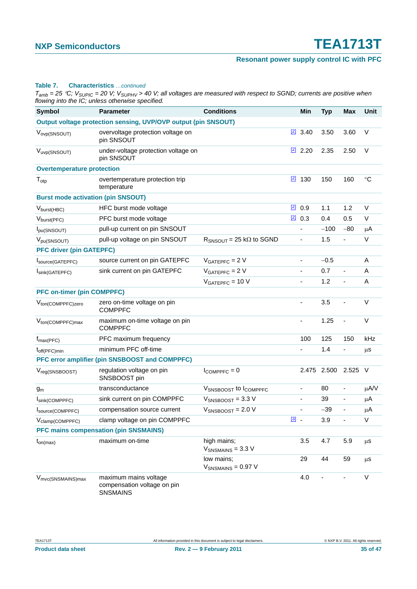### **Resonant power supply control IC with PFC**

#### **Table 7. Characteristics** *…continued*

| <b>Symbol</b>                             | <b>Parameter</b>                                                        | <b>Conditions</b>                     |                                        | Min                          | <b>Typ</b> | <b>Max</b>               | Unit      |
|-------------------------------------------|-------------------------------------------------------------------------|---------------------------------------|----------------------------------------|------------------------------|------------|--------------------------|-----------|
|                                           | Output voltage protection sensing, UVP/OVP output (pin SNSOUT)          |                                       |                                        |                              |            |                          |           |
| V <sub>ovp</sub> (SNSOUT)                 | overvoltage protection voltage on<br>pin SNSOUT                         |                                       |                                        | $[2]$ 3.40                   | 3.50       | 3.60                     | $\vee$    |
| V <sub>uvp</sub> (SNSOUT)                 | under-voltage protection voltage on<br>pin SNSOUT                       |                                       |                                        | $\frac{[2]}{[2]}$ 2.20       | 2.35       | 2.50                     | $\vee$    |
| <b>Overtemperature protection</b>         |                                                                         |                                       |                                        |                              |            |                          |           |
| $T_{\text{otp}}$                          | overtemperature protection trip<br>temperature                          |                                       |                                        | $2$ 130                      | 150        | 160                      | $\circ$ C |
| <b>Burst mode activation (pin SNSOUT)</b> |                                                                         |                                       |                                        |                              |            |                          |           |
| $V_{burst(HBC)}$                          | HFC burst mode voltage                                                  |                                       | $[2]$                                  | 0.9                          | 1.1        | 1.2                      | V         |
| $V_{burst(PFC)}$                          | PFC burst mode voltage                                                  |                                       | $\boxed{2}$                            | 0.3                          | 0.4        | 0.5                      | V         |
| Ipu(SNSOUT)                               | pull-up current on pin SNSOUT                                           |                                       |                                        |                              | $-100$     | $-80$                    | $\mu$ A   |
| V <sub>pu</sub> (SNSOUT)                  | pull-up voltage on pin SNSOUT                                           | $R_{SNSOUT}$ = 25 k $\Omega$ to SGND  |                                        | $\qquad \qquad \blacksquare$ | 1.5        | $\blacksquare$           | V         |
| <b>PFC driver (pin GATEPFC)</b>           |                                                                         |                                       |                                        |                              |            |                          |           |
| Source(GATEPFC)                           | source current on pin GATEPFC                                           | $VGATEPFC = 2 V$                      |                                        | $\qquad \qquad \blacksquare$ | $-0.5$     |                          | A         |
| Isink(GATEPFC)                            | sink current on pin GATEPFC                                             | $VGATEPFC = 2 V$                      |                                        | ÷,                           | 0.7        | $\blacksquare$           | A         |
|                                           |                                                                         | $VGATEPFC = 10 V$                     |                                        | $\frac{1}{2}$                | 1.2        | $\blacksquare$           | A         |
| <b>PFC on-timer (pin COMPPFC)</b>         |                                                                         |                                       |                                        |                              |            |                          |           |
| V <sub>ton</sub> (COMPPFC)zero            | zero on-time voltage on pin<br><b>COMPPFC</b>                           |                                       |                                        | $\qquad \qquad \blacksquare$ | 3.5        |                          | $\vee$    |
| V <sub>ton</sub> (COMPPFC)max             | maximum on-time voltage on pin<br><b>COMPPFC</b>                        |                                       |                                        | $\blacksquare$               | 1.25       | ä,                       | $\vee$    |
| $f_{\text{max(PFC)}}$                     | PFC maximum frequency                                                   |                                       |                                        | 100                          | 125        | 150                      | kHz       |
| $t_{off(PFC)min}$                         | minimum PFC off-time                                                    |                                       |                                        | ÷                            | 1.4        | $\frac{1}{2}$            | μS        |
|                                           | PFC error amplifier (pin SNSBOOST and COMPPFC)                          |                                       |                                        |                              |            |                          |           |
| V <sub>reg(SNSBOOST)</sub>                | regulation voltage on pin<br>SNSBOOST pin                               | $I_{COMPPEC} = 0$                     |                                        | 2.475                        | 2.500      | 2.525                    | $\vee$    |
| $g_m$                                     | transconductance                                                        | VSNSBOOST to ICOMPPFC                 |                                        | $\qquad \qquad \blacksquare$ | 80         | ٠                        | $\mu$ A/V |
| Isink(COMPPFC)                            | sink current on pin COMPPFC                                             | $V_{SNSBOOST} = 3.3 V$                |                                        | $\qquad \qquad \blacksquare$ | 39         | $\frac{1}{2}$            | μA        |
| Isource(COMPPFC)                          | compensation source current                                             | $V_{SNSBOOST} = 2.0 V$                |                                        | $\blacksquare$               | -39        | $\blacksquare$           | $\mu$ A   |
| V <sub>clamp</sub> (COMPPFC)              | clamp voltage on pin COMPPFC                                            |                                       | $\begin{bmatrix} 3 \\ 2 \end{bmatrix}$ |                              | 3.9        | $\overline{\phantom{0}}$ | V         |
|                                           | <b>PFC mains compensation (pin SNSMAINS)</b>                            |                                       |                                        |                              |            |                          |           |
| $t_{on(max)}$                             | maximum on-time                                                         | high mains;<br>$V_{SNSMAINS} = 3.3 V$ |                                        | 3.5                          | 4.7        | 5.9                      | $\mu$ s   |
|                                           |                                                                         | low mains:<br>$V_{SNSMAINS} = 0.97 V$ |                                        | 29                           | 44         | 59                       | $\mu$ s   |
| V <sub>mvc(SNSMAINS)max</sub>             | maximum mains voltage<br>compensation voltage on pin<br><b>SNSMAINS</b> |                                       |                                        | 4.0                          |            |                          | $\vee$    |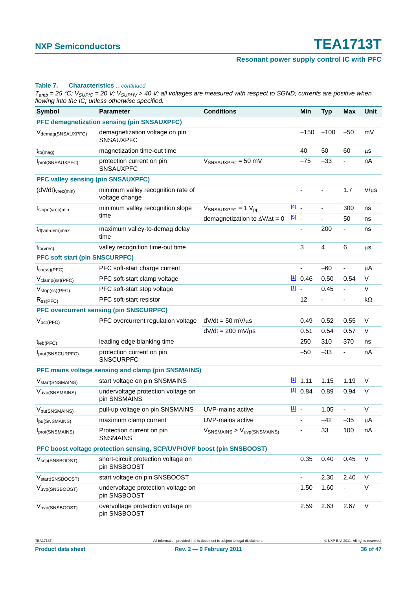### **Resonant power supply control IC with PFC**

#### **Table 7. Characteristics** *…continued*

| <b>Symbol</b>                                                          | <b>Parameter</b>                                     | <b>Conditions</b>                          |             | Min       | <b>Typ</b> | <b>Max</b>               | <b>Unit</b> |
|------------------------------------------------------------------------|------------------------------------------------------|--------------------------------------------|-------------|-----------|------------|--------------------------|-------------|
|                                                                        | PFC demagnetization sensing (pin SNSAUXPFC)          |                                            |             |           |            |                          |             |
| V <sub>demag</sub> (SNSAUXPFC)                                         | demagnetization voltage on pin<br><b>SNSAUXPFC</b>   |                                            |             | $-150$    | $-100$     | $-50$                    | mV          |
| $t_{to(mag)}$                                                          | magnetization time-out time                          |                                            |             | 40        | 50         | 60                       | $\mu$ s     |
| Iprot(SNSAUXPFC)                                                       | protection current on pin<br>SNSAUXPFC               | $V_{SNSAUXPFC} = 50$ mV                    |             | $-75$     | $-33$      | $\overline{\phantom{0}}$ | nA          |
| <b>PFC valley sensing (pin SNSAUXPFC)</b>                              |                                                      |                                            |             |           |            |                          |             |
| $(dV/dt)_{\text{vrec(min)}}$                                           | minimum valley recognition rate of<br>voltage change |                                            |             |           |            | 1.7                      | $V/\mu s$   |
| $t_{slope(tree)}$ min                                                  | minimum valley recognition slope                     | $V_{SNSAUXPFC} = 1 V_{pp}$                 | $\boxed{4}$ |           |            | 300                      | ns          |
|                                                                        | time                                                 | demagnetization to $\Delta V/\Delta t = 0$ | $\boxed{5}$ |           |            | 50                       | ns          |
| $t_{d(val\text{-}\text{dem})\text{max}}$                               | maximum valley-to-demag delay<br>time                |                                            |             | ä,        | 200        | ÷,                       | ns          |
| $t_{to(vrec)}$                                                         | valley recognition time-out time                     |                                            |             | 3         | 4          | 6                        | μS          |
| <b>PFC soft start (pin SNSCURPFC)</b>                                  |                                                      |                                            |             |           |            |                          |             |
| $I_{ch(ss)(PFC)}$                                                      | PFC soft-start charge current                        |                                            |             |           | $-60$      | -                        | μA          |
| V <sub>clamp</sub> (ss)(PFC)                                           | PFC soft-start clamp voltage                         |                                            |             | 110.46    | 0.50       | 0.54                     | $\vee$      |
| $V_{stop(ss)(PFC)}$                                                    | PFC soft-start stop voltage                          |                                            | $11 -$      |           | 0.45       |                          | $\vee$      |
| $R_{SS(PFC)}$                                                          | PFC soft-start resistor                              |                                            |             | 12        |            | ٠                        | $k\Omega$   |
|                                                                        | <b>PFC overcurrent sensing (pin SNSCURPFC)</b>       |                                            |             |           |            |                          |             |
| $V_{ocr(PFC)}$                                                         | PFC overcurrent regulation voltage                   | $dV/dt = 50$ mV/ $\mu$ s                   |             | 0.49      | 0.52       | 0.55                     | $\vee$      |
|                                                                        |                                                      | $dV/dt = 200$ mV/ $\mu$ s                  |             | 0.51      | 0.54       | 0.57                     | V           |
| $t_{\text{leb(PFC)}}$                                                  | leading edge blanking time                           |                                            |             | 250       | 310        | 370                      | ns          |
| Iprot(SNSCURPFC)                                                       | protection current on pin<br><b>SNSCURPFC</b>        |                                            |             | $-50$     | $-33$      |                          | nA          |
|                                                                        | PFC mains voltage sensing and clamp (pin SNSMAINS)   |                                            |             |           |            |                          |             |
| V <sub>start</sub> (SNSMAINS)                                          | start voltage on pin SNSMAINS                        |                                            |             | $11$ 1.11 | 1.15       | 1.19                     | $\vee$      |
| V <sub>uvp</sub> (SNSMAINS)                                            | undervoltage protection voltage on<br>pin SNSMAINS   |                                            |             | $11$ 0.84 | 0.89       | 0.94                     | V           |
| V <sub>pu</sub> (SNSMAINS)                                             | pull-up voltage on pin SNSMAINS                      | UVP-mains active                           | 凹.          |           | 1.05       |                          | V           |
| Ipu(SNSMAINS)                                                          | maximum clamp current                                | UVP-mains active                           |             |           | $-42$      | $-35$                    | $\mu$ A     |
| Iprot(SNSMAINS)                                                        | Protection current on pin<br><b>SNSMAINS</b>         | $V_{SNSMAINS}$ > $V_{uvp(SNSMAINS)}$       |             |           | 33         | 100                      | nA          |
| PFC boost voltage protection sensing, SCP/UVP/OVP boost (pin SNSBOOST) |                                                      |                                            |             |           |            |                          |             |
| $V_{\text{scp}(\text{SNSBOOST})}$                                      | short-circuit protection voltage on<br>pin SNSBOOST  |                                            |             | 0.35      | 0.40       | 0.45                     | V           |
| V <sub>start</sub> (SNSBOOST)                                          | start voltage on pin SNSBOOST                        |                                            |             |           | 2.30       | 2.40                     | V           |
| V <sub>uvp</sub> (SNSBOOST)                                            | undervoltage protection voltage on<br>pin SNSBOOST   |                                            |             | 1.50      | 1.60       |                          | V           |
| V <sub>ovp(SNSBOOST)</sub>                                             | overvoltage protection voltage on<br>pin SNSBOOST    |                                            |             | 2.59      | 2.63       | 2.67                     | V           |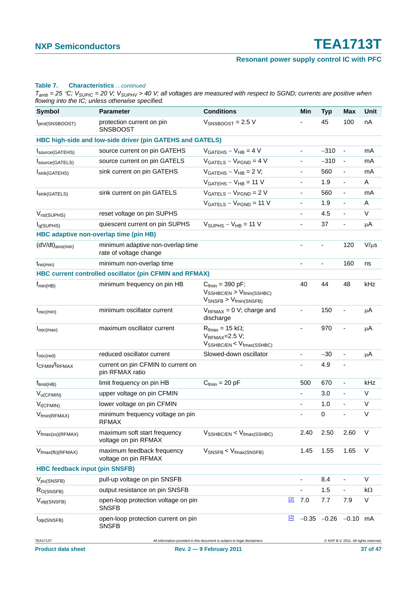### **Resonant power supply control IC with PFC**

#### **Table 7. Characteristics** *…continued*

| <b>Symbol</b>                                | <b>Parameter</b>                                            | <b>Conditions</b>                                                                                                         |             | Min                      | <b>Typ</b>                 | Max                                   | Unit      |
|----------------------------------------------|-------------------------------------------------------------|---------------------------------------------------------------------------------------------------------------------------|-------------|--------------------------|----------------------------|---------------------------------------|-----------|
| Iprot(SNSBOOST)                              | protection current on pin<br><b>SNSBOOST</b>                | $V_{SNSBOOST} = 2.5 V$                                                                                                    |             |                          | 45                         | 100                                   | nA        |
|                                              | HBC high-side and low-side driver (pin GATEHS and GATELS)   |                                                                                                                           |             |                          |                            |                                       |           |
| Isource(GATEHS)                              | source current on pin GATEHS                                | $VGATFHS - VHB = 4 V$                                                                                                     |             |                          | $-310$                     | $\qquad \qquad \blacksquare$          | mA        |
| Source(GATELS)                               | source current on pin GATELS                                | $VGATELS - VPGND = 4 V$                                                                                                   |             |                          | $-310$                     | $\blacksquare$                        | mA        |
| Isink(GATEHS)                                | sink current on pin GATEHS                                  | $VGATEHS - VHB = 2 V$ ;                                                                                                   |             |                          | 560                        | $\qquad \qquad \blacksquare$          | mA        |
|                                              |                                                             | $VGATEHS - VHB = 11 V$                                                                                                    |             | $\frac{1}{2}$            | 1.9                        | $\qquad \qquad \blacksquare$          | A         |
| Isink(GATELS)                                | sink current on pin GATELS                                  | $VGATELS - VPGND = 2 V$                                                                                                   |             |                          | 560                        | $\qquad \qquad \blacksquare$          | mA        |
|                                              |                                                             | $VGATELS - VPGND = 11 V$                                                                                                  |             | $\blacksquare$           | 1.9                        | $\qquad \qquad \blacksquare$          | A         |
| V <sub>rst</sub> (SUPHS)                     | reset voltage on pin SUPHS                                  |                                                                                                                           |             | ä,                       | 4.5                        | ÷,                                    | $\vee$    |
| I <sub>q(SUPHS)</sub>                        | quiescent current on pin SUPHS                              | $VSUPHS - VHB = 11 V$                                                                                                     |             | $\blacksquare$           | 37                         | $\qquad \qquad \blacksquare$          | μA        |
| HBC adaptive non-overlap time (pin HB)       |                                                             |                                                                                                                           |             |                          |                            |                                       |           |
| $(dV/dt)_{\text{ano}(min)}$                  | minimum adaptive non-overlap time<br>rate of voltage change |                                                                                                                           |             | ä,                       |                            | 120                                   | $V/\mu s$ |
| $t_{no(min)}$                                | minimum non-overlap time                                    |                                                                                                                           |             |                          |                            | 160                                   | ns        |
|                                              | HBC current controlled oscillator (pin CFMIN and RFMAX)     |                                                                                                                           |             |                          |                            |                                       |           |
| $f_{min(HB)}$                                | minimum frequency on pin HB                                 | $C_{fmin} = 390 \text{ pF}$ ;<br>$V_{\text{SSHBC/EN}} > V_{\text{fmin}(\text{SSHBC})}$<br>$V_{SNSFB}$ > $V_{fmin(SNSFB)}$ |             | 40                       | 44                         | 48                                    | kHz       |
| $I_{\text{osc}(min)}$                        | minimum oscillator current                                  | $V_{RFMAX} = 0 V$ ; charge and<br>discharge                                                                               |             | ä,                       | 150                        |                                       | μA        |
| $I_{\text{osc(max)}}$                        | maximum oscillator current                                  | $R_{\text{fmax}} = 15 \text{ k}\Omega$ ;<br>$V_{RFMAX}=2.5 V;$<br>$V_{\text{SSHBC/EN}} < V_{\text{fmax}(\text{SSHBC})}$   |             | $\overline{\phantom{0}}$ | 970                        |                                       | μA        |
| I <sub>osc</sub> (red)                       | reduced oscillator current                                  | Slowed-down oscillator                                                                                                    |             | $\overline{\phantom{0}}$ | $-30$                      | $\qquad \qquad \blacksquare$          | μA        |
| ICFMIN/IRFMAX                                | current on pin CFMIN to current on<br>pin RFMAX ratio       |                                                                                                                           |             |                          | 4.9                        |                                       |           |
| $f_{limit(HB)}$                              | limit frequency on pin HB                                   | $C_{fmin} = 20 pF$                                                                                                        |             | 500                      | 670                        | $\qquad \qquad \blacksquare$          | kHz       |
| $V_{u(CFMIN)}$                               | upper voltage on pin CFMIN                                  |                                                                                                                           |             | $\blacksquare$           | 3.0                        | $\overline{a}$                        | $\vee$    |
| $V_{I(CFMIN)}$                               | lower voltage on pin CFMIN                                  |                                                                                                                           |             | $\blacksquare$           | 1.0                        |                                       | V         |
| $V_{fmin(RFMAX)}$                            | minimum frequency voltage on pin<br><b>RFMAX</b>            |                                                                                                                           |             | $\overline{\phantom{0}}$ | $\pmb{0}$                  | ä,                                    | $\vee$    |
| $V_{\text{fmax}(ss)(RFMAX)}$                 | maximum soft start frequency<br>voltage on pin RFMAX        | $V_{\text{SSHBC/EN}} < V_{\text{fmax}(\text{SSHBC})}$                                                                     |             | 2.40                     | 2.50                       | 2.60                                  | V         |
| $V_{\text{fmax(fb)}(RFMAX)}$                 | maximum feedback frequency<br>voltage on pin RFMAX          | $V_{\text{SNSFB}} < V_{\text{fmax(SNSFB)}}$                                                                               |             | 1.45                     | 1.55                       | 1.65                                  | $\vee$    |
| <b>HBC feedback input (pin SNSFB)</b>        |                                                             |                                                                                                                           |             |                          |                            |                                       |           |
| $V_{pu(SNSFB)}$                              | pull-up voltage on pin SNSFB                                |                                                                                                                           |             | $\blacksquare$           | 8.4                        | $\qquad \qquad \blacksquare$          | V         |
| R <sub>O(SNSFB)</sub>                        | output resistance on pin SNSFB                              |                                                                                                                           |             | ÷,                       | 1.5                        | $\overline{\phantom{0}}$              | $k\Omega$ |
| $V_{\text{olp}(\text{SNSFB})}$               | open-loop protection voltage on pin<br><b>SNSFB</b>         |                                                                                                                           | $\boxed{2}$ | 7.0                      | 7.7                        | 7.9                                   | V         |
| $I_{\text{olp}(\text{SNSFB})}$               | open-loop protection current on pin<br><b>SNSFB</b>         |                                                                                                                           | [2]         |                          | $-0.35$ $-0.26$ $-0.10$ mA |                                       |           |
| <b>TEA1713T</b><br><b>Product data sheet</b> |                                                             | All information provided in this document is subject to legal disclaimers.<br><b>Rev. 2-9 February 2011</b>               |             |                          |                            | @ NXP B.V. 2011. All rights reserved. | 37 of 47  |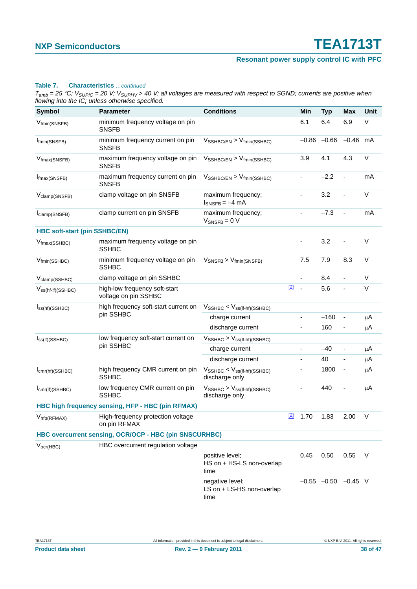### **Resonant power supply control IC with PFC**

#### **Table 7. Characteristics** *…continued*

| <b>Symbol</b>                                          | <b>Parameter</b>                                      | <b>Conditions</b>                                                    |       | Min                      | <b>Typ</b>                | Max                          | Unit    |
|--------------------------------------------------------|-------------------------------------------------------|----------------------------------------------------------------------|-------|--------------------------|---------------------------|------------------------------|---------|
| V <sub>fmin</sub> (SNSFB)                              | minimum frequency voltage on pin<br><b>SNSFB</b>      |                                                                      |       | 6.1                      | 6.4                       | 6.9                          | V       |
| I <sub>fmin</sub> (SNSFB)                              | minimum frequency current on pin<br><b>SNSFB</b>      | $V_{\text{SSHBC/EN}} > V_{\text{fmin}(\text{SSHBC})}$                |       |                          | $-0.86 -0.66$             | $-0.46$                      | mA      |
| V <sub>fmax</sub> (SNSFB)                              | maximum frequency voltage on pin<br><b>SNSFB</b>      | $V_{\text{SSHBC/EN}}$ > $V_{\text{fmin}(\text{SSHBC})}$              |       | 3.9                      | 4.1                       | 4.3                          | V       |
| I <sub>fmax</sub> (SNSFB)                              | maximum frequency current on pin<br><b>SNSFB</b>      | $V_{\text{SSHBC/EN}}$ > $V_{\text{fmin}(\text{SSHBC})}$              |       |                          | $-2.2$                    |                              | mA      |
| V <sub>clamp</sub> (SNSFB)                             | clamp voltage on pin SNSFB                            | maximum frequency;<br>$I_{SNSFB} = -4 mA$                            |       | ÷,                       | 3.2                       | ä,                           | $\vee$  |
| I <sub>clamp</sub> (SNSFB)                             | clamp current on pin SNSFB                            | maximum frequency;<br>$V_{\text{SNSFB}} = 0 V$                       |       |                          | $-7.3$                    |                              | mA      |
| <b>HBC soft-start (pin SSHBC/EN)</b>                   |                                                       |                                                                      |       |                          |                           |                              |         |
| $V_{\text{fmax}(\text{SSHBC})}$                        | maximum frequency voltage on pin<br><b>SSHBC</b>      |                                                                      |       | $\blacksquare$           | 3.2                       |                              | $\vee$  |
| V <sub>fmin</sub> (SSHBC)                              | minimum frequency voltage on pin<br><b>SSHBC</b>      | $V_{SNSFB}$ > $V_{fmin(SNSFB)}$                                      |       | 7.5                      | 7.9                       | 8.3                          | $\vee$  |
| V <sub>clamp</sub> (SSHBC)                             | clamp voltage on pin SSHBC                            |                                                                      |       | $\blacksquare$           | 8.4                       | ÷                            | V       |
| $V_{ss(ht-lf)(SSHBC)}$                                 | high-low frequency soft-start<br>voltage on pin SSHBC |                                                                      | $[2]$ | $\overline{\phantom{a}}$ | 5.6                       |                              | V       |
| $I_{SS(hf)(SSHBC)}$                                    | high frequency soft-start current on                  | $V_{\text{SSHBC}} < V_{\text{ss(lf-hf)(SSHBC)}}$                     |       |                          |                           |                              |         |
|                                                        | pin SSHBC                                             | charge current                                                       |       | ä,                       | $-160$                    | $\overline{\phantom{a}}$     | $\mu$ A |
|                                                        |                                                       | discharge current                                                    |       | $\blacksquare$           | 160                       | $\qquad \qquad \blacksquare$ | $\mu$ A |
| $I_{SS(If)(SSHBC)}$                                    | low frequency soft-start current on                   | $V_{\text{SSHBC}}$ > $V_{\text{ss(lf-hf)(SSHBC)}}$                   |       |                          |                           |                              |         |
|                                                        | pin SSHBC                                             | charge current                                                       |       | $\blacksquare$           | $-40$                     | $\blacksquare$               | $\mu$ A |
|                                                        |                                                       | discharge current                                                    |       |                          | 40                        |                              | $\mu$ A |
| $I_{cmr(hf)(SSHBC)}$                                   | high frequency CMR current on pin<br><b>SSHBC</b>     | $V_{\text{SSHBC}} < V_{\text{ss(lf-hf)(SSHBC)}}$<br>discharge only   |       |                          | 1800                      | $\overline{a}$               | $\mu$ A |
| $I_{cmr(If)(SSHBC)}$                                   | low frequency CMR current on pin<br><b>SSHBC</b>      | $V_{\text{SSHBC}}$ > $V_{\text{ss(lf-hf)(SSHBC)}}$<br>discharge only |       |                          | 440                       |                              | $\mu$ A |
|                                                        | HBC high frequency sensing, HFP - HBC (pin RFMAX)     |                                                                      |       |                          |                           |                              |         |
| $V_{\text{hfp(RFMAX)}}$                                | High-frequency protection voltage<br>on pin RFMAX     |                                                                      | $[2]$ | 1.70                     | 1.83                      | 2.00                         | V       |
| HBC overcurrent sensing, OCR/OCP - HBC (pin SNSCURHBC) |                                                       |                                                                      |       |                          |                           |                              |         |
| $V_{\text{ocr(HBC)}}$                                  | HBC overcurrent regulation voltage                    |                                                                      |       |                          |                           |                              |         |
|                                                        |                                                       | positive level;<br>HS on + HS-LS non-overlap<br>time                 |       | 0.45                     | 0.50                      | 0.55                         | $\vee$  |
|                                                        |                                                       | negative level;<br>LS on + LS-HS non-overlap<br>time                 |       |                          | $-0.55$ $-0.50$ $-0.45$ V |                              |         |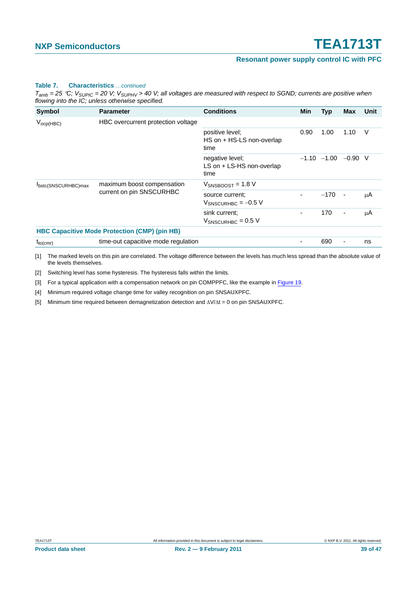### **Resonant power supply control IC with PFC**

#### **Table 7. Characteristics** *…continued*

*Tamb = 25* °*C; VSUPIC = 20 V; VSUPHV > 40 V; all voltages are measured with respect to SGND; currents are positive when flowing into the IC; unless otherwise specified.*

| Symbol              | <b>Parameter</b>                                     | <b>Conditions</b>                                    | Min  | <b>Typ</b>                | <b>Max</b>               | Unit |
|---------------------|------------------------------------------------------|------------------------------------------------------|------|---------------------------|--------------------------|------|
| $V_{ocp(HBC)}$      | HBC overcurrent protection voltage                   |                                                      |      |                           |                          |      |
|                     |                                                      | positive level;<br>HS on + HS-LS non-overlap<br>time | 0.90 | 1.00                      | 1.10                     | V    |
|                     |                                                      | negative level;<br>LS on + LS-HS non-overlap<br>time |      | $-1.10$ $-1.00$ $-0.90$ V |                          |      |
| Ibstc(SNSCURHBC)max | maximum boost compensation                           | $V_{SNSBOOST} = 1.8 V$                               |      |                           |                          |      |
|                     | current on pin SNSCURHBC                             | source current;<br>$V_{SNSCURHBC}$ = -0.5 V          |      | $-170$                    | $\blacksquare$           | μA   |
|                     |                                                      | sink current:<br>$V_{SNSCURHBC}$ = 0.5 V             |      | 170                       | $\overline{\phantom{a}}$ | μA   |
|                     | <b>HBC Capacitive Mode Protection (CMP) (pin HB)</b> |                                                      |      |                           |                          |      |
| $t_{to(cmr)}$       | time-out capacitive mode regulation                  |                                                      |      | 690                       | $\overline{\phantom{a}}$ | ns   |

<span id="page-38-0"></span>[1] The marked levels on this pin are correlated. The voltage difference between the levels has much less spread than the absolute value of the levels themselves.

<span id="page-38-1"></span>[2] Switching level has some hysteresis. The hysteresis falls within the limits.

<span id="page-38-2"></span>[3] For a typical application with a compensation network on pin COMPPFC, like the example in [Figure 19](#page-39-0).

<span id="page-38-3"></span>[4] Minimum required voltage change time for valley recognition on pin SNSAUXPFC.

<span id="page-38-4"></span>[5] Minimum time required between demagnetization detection and ΔV/Δt = 0 on pin SNSAUXPFC.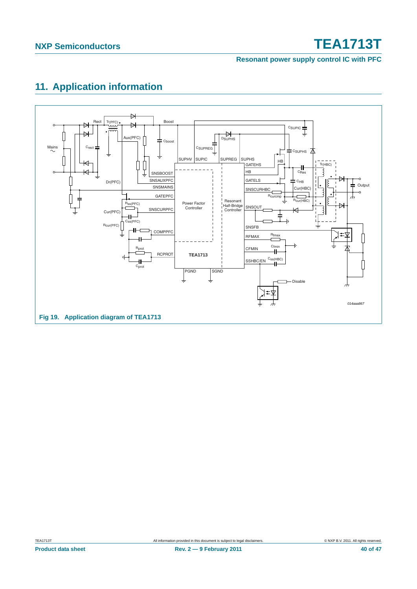**Resonant power supply control IC with PFC**

### <span id="page-39-1"></span>**11. Application information**

<span id="page-39-0"></span>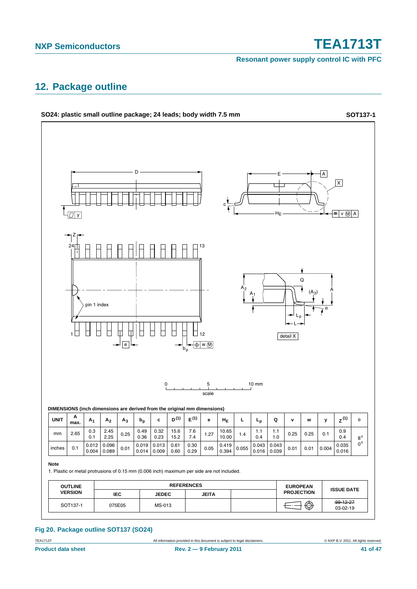**Resonant power supply control IC with PFC**

### <span id="page-40-0"></span>**12. Package outline**



### **Fig 20. Package outline SOT137 (SO24)**

TEA1713T **All information provided in this document** is subject to legal disclaimers. **COMPROVER CONTA ALL 1998** CONTA All rights reserved.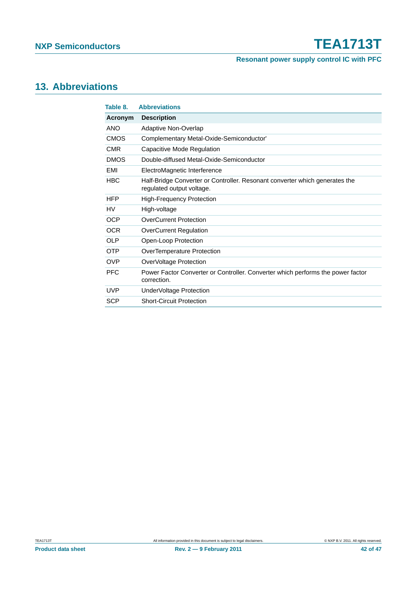**Resonant power supply control IC with PFC**

### <span id="page-41-1"></span>**13. Abbreviations**

<span id="page-41-0"></span>

| Table 8.    | <b>Abbreviations</b>                                                                                     |
|-------------|----------------------------------------------------------------------------------------------------------|
| Acronym     | <b>Description</b>                                                                                       |
| <b>ANO</b>  | <b>Adaptive Non-Overlap</b>                                                                              |
| <b>CMOS</b> | Complementary Metal-Oxide-Semiconductor'                                                                 |
| <b>CMR</b>  | Capacitive Mode Regulation                                                                               |
| <b>DMOS</b> | Double-diffused Metal-Oxide-Semiconductor                                                                |
| EMI         | ElectroMagnetic Interference                                                                             |
| <b>HBC</b>  | Half-Bridge Converter or Controller. Resonant converter which generates the<br>regulated output voltage. |
| <b>HFP</b>  | <b>High-Frequency Protection</b>                                                                         |
| HV          | High-voltage                                                                                             |
| <b>OCP</b>  | <b>OverCurrent Protection</b>                                                                            |
| <b>OCR</b>  | <b>OverCurrent Regulation</b>                                                                            |
| OL P        | Open-Loop Protection                                                                                     |
| <b>OTP</b>  | OverTemperature Protection                                                                               |
| <b>OVP</b>  | OverVoltage Protection                                                                                   |
| <b>PFC</b>  | Power Factor Converter or Controller. Converter which performs the power factor<br>correction.           |
| <b>UVP</b>  | Under Voltage Protection                                                                                 |
| <b>SCP</b>  | <b>Short-Circuit Protection</b>                                                                          |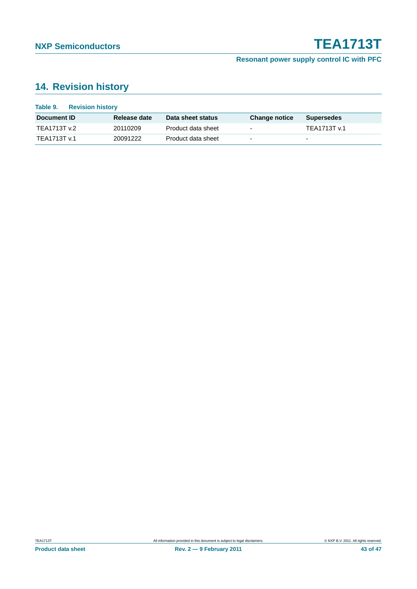### <span id="page-42-0"></span>**14. Revision history**

| Table 9.<br><b>Revision history</b> |              |                    |                          |                          |
|-------------------------------------|--------------|--------------------|--------------------------|--------------------------|
| Document <b>ID</b>                  | Release date | Data sheet status  | <b>Change notice</b>     | <b>Supersedes</b>        |
| TEA1713T v.2                        | 20110209     | Product data sheet | $\overline{\phantom{0}}$ | TEA1713T v.1             |
| TEA1713T v.1                        | 20091222     | Product data sheet | $\overline{\phantom{0}}$ | $\overline{\phantom{0}}$ |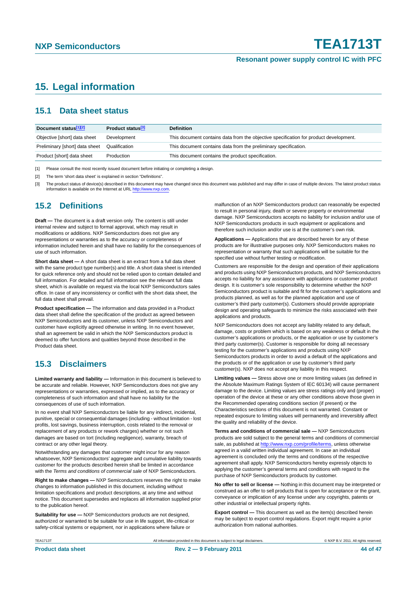### <span id="page-43-0"></span>**15. Legal information**

### <span id="page-43-1"></span>**15.1 Data sheet status**

| Document status[1][2]          | Product status <sup>[3]</sup> | <b>Definition</b>                                                                     |
|--------------------------------|-------------------------------|---------------------------------------------------------------------------------------|
| Objective [short] data sheet   | Development                   | This document contains data from the objective specification for product development. |
| Preliminary [short] data sheet | Qualification                 | This document contains data from the preliminary specification.                       |
| Product [short] data sheet     | Production                    | This document contains the product specification.                                     |

[1] Please consult the most recently issued document before initiating or completing a design.

[2] The term 'short data sheet' is explained in section "Definitions".

[3] The product status of device(s) described in this document may have changed since this document was published and may differ in case of multiple devices. The latest product status<br>information is available on the Intern

### <span id="page-43-2"></span>**15.2 Definitions**

**Draft —** The document is a draft version only. The content is still under internal review and subject to formal approval, which may result in modifications or additions. NXP Semiconductors does not give any representations or warranties as to the accuracy or completeness of information included herein and shall have no liability for the consequences of use of such information.

**Short data sheet —** A short data sheet is an extract from a full data sheet with the same product type number(s) and title. A short data sheet is intended for quick reference only and should not be relied upon to contain detailed and full information. For detailed and full information see the relevant full data sheet, which is available on request via the local NXP Semiconductors sales office. In case of any inconsistency or conflict with the short data sheet, the full data sheet shall prevail.

**Product specification —** The information and data provided in a Product data sheet shall define the specification of the product as agreed between NXP Semiconductors and its customer, unless NXP Semiconductors and customer have explicitly agreed otherwise in writing. In no event however, shall an agreement be valid in which the NXP Semiconductors product is deemed to offer functions and qualities beyond those described in the Product data sheet.

### <span id="page-43-3"></span>**15.3 Disclaimers**

**Limited warranty and liability —** Information in this document is believed to be accurate and reliable. However, NXP Semiconductors does not give any representations or warranties, expressed or implied, as to the accuracy or completeness of such information and shall have no liability for the consequences of use of such information.

In no event shall NXP Semiconductors be liable for any indirect, incidental, punitive, special or consequential damages (including - without limitation - lost profits, lost savings, business interruption, costs related to the removal or replacement of any products or rework charges) whether or not such damages are based on tort (including negligence), warranty, breach of contract or any other legal theory.

Notwithstanding any damages that customer might incur for any reason whatsoever, NXP Semiconductors' aggregate and cumulative liability towards customer for the products described herein shall be limited in accordance with the *Terms and conditions of commercial sale* of NXP Semiconductors.

**Right to make changes —** NXP Semiconductors reserves the right to make changes to information published in this document, including without limitation specifications and product descriptions, at any time and without notice. This document supersedes and replaces all information supplied prior to the publication hereof.

**Suitability for use —** NXP Semiconductors products are not designed, authorized or warranted to be suitable for use in life support, life-critical or safety-critical systems or equipment, nor in applications where failure or

malfunction of an NXP Semiconductors product can reasonably be expected to result in personal injury, death or severe property or environmental damage. NXP Semiconductors accepts no liability for inclusion and/or use of NXP Semiconductors products in such equipment or applications and therefore such inclusion and/or use is at the customer's own risk.

**Applications —** Applications that are described herein for any of these products are for illustrative purposes only. NXP Semiconductors makes no representation or warranty that such applications will be suitable for the specified use without further testing or modification.

Customers are responsible for the design and operation of their applications and products using NXP Semiconductors products, and NXP Semiconductors accepts no liability for any assistance with applications or customer product design. It is customer's sole responsibility to determine whether the NXP Semiconductors product is suitable and fit for the customer's applications and products planned, as well as for the planned application and use of customer's third party customer(s). Customers should provide appropriate design and operating safeguards to minimize the risks associated with their applications and products.

NXP Semiconductors does not accept any liability related to any default, damage, costs or problem which is based on any weakness or default in the customer's applications or products, or the application or use by customer's third party customer(s). Customer is responsible for doing all necessary testing for the customer's applications and products using NXP Semiconductors products in order to avoid a default of the applications and the products or of the application or use by customer's third party customer(s). NXP does not accept any liability in this respect.

**Limiting values —** Stress above one or more limiting values (as defined in the Absolute Maximum Ratings System of IEC 60134) will cause permanent damage to the device. Limiting values are stress ratings only and (proper) operation of the device at these or any other conditions above those given in the Recommended operating conditions section (if present) or the Characteristics sections of this document is not warranted. Constant or repeated exposure to limiting values will permanently and irreversibly affect the quality and reliability of the device.

**Terms and conditions of commercial sale —** NXP Semiconductors products are sold subject to the general terms and conditions of commercial sale, as published at<http://www.nxp.com/profile/terms>, unless otherwise agreed in a valid written individual agreement. In case an individual agreement is concluded only the terms and conditions of the respective agreement shall apply. NXP Semiconductors hereby expressly objects to applying the customer's general terms and conditions with regard to the purchase of NXP Semiconductors products by customer.

**No offer to sell or license —** Nothing in this document may be interpreted or construed as an offer to sell products that is open for acceptance or the grant, conveyance or implication of any license under any copyrights, patents or other industrial or intellectual property rights.

**Export control —** This document as well as the item(s) described herein may be subject to export control regulations. Export might require a prior authorization from national authorities.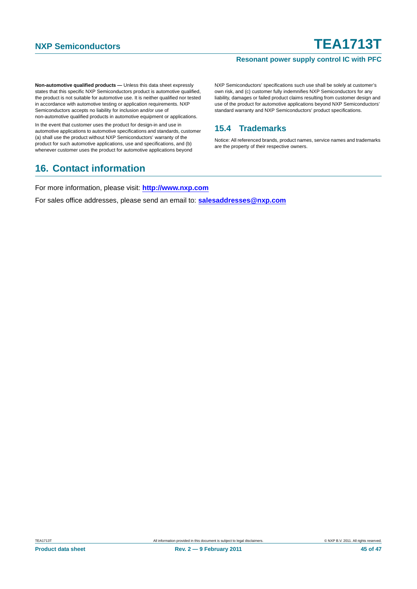### **Resonant power supply control IC with PFC**

**Non-automotive qualified products —** Unless this data sheet expressly states that this specific NXP Semiconductors product is automotive qualified, the product is not suitable for automotive use. It is neither qualified nor tested in accordance with automotive testing or application requirements. NXP Semiconductors accepts no liability for inclusion and/or use of non-automotive qualified products in automotive equipment or applications.

In the event that customer uses the product for design-in and use in automotive applications to automotive specifications and standards, customer (a) shall use the product without NXP Semiconductors' warranty of the product for such automotive applications, use and specifications, and (b) whenever customer uses the product for automotive applications beyond

### <span id="page-44-1"></span>**16. Contact information**

NXP Semiconductors' specifications such use shall be solely at customer's own risk, and (c) customer fully indemnifies NXP Semiconductors for any liability, damages or failed product claims resulting from customer design and use of the product for automotive applications beyond NXP Semiconductors' standard warranty and NXP Semiconductors' product specifications.

### <span id="page-44-0"></span>**15.4 Trademarks**

Notice: All referenced brands, product names, service names and trademarks are the property of their respective owners.

For more information, please visit: **http://www.nxp.com**

For sales office addresses, please send an email to: **salesaddresses@nxp.com**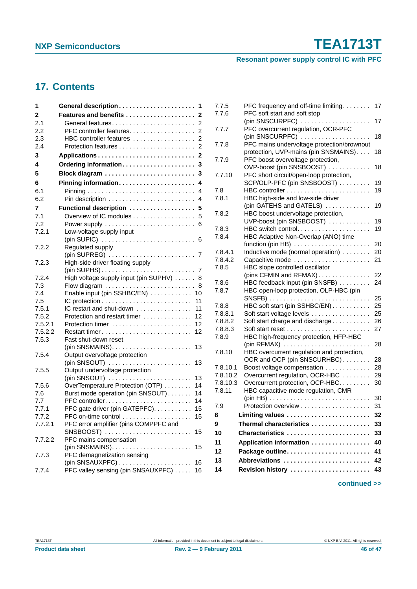### **Resonant power supply control IC with PFC**

### <span id="page-45-0"></span>**17. Contents**

| 1       | General description<br>1                                   |
|---------|------------------------------------------------------------|
| 2       | Features and benefits  2                                   |
| 2.1     |                                                            |
| 2.2     | PFC controller features.<br>2                              |
| 2.3     | HBC controller features<br>$\overline{2}$                  |
| 2.4     |                                                            |
| 3       |                                                            |
| 4       | Ordering information<br>3                                  |
| 5       | Block diagram  3                                           |
| 6       | Pinning information 4                                      |
| 6.1     |                                                            |
| 6.2     | 4                                                          |
| 7       | Functional description  5                                  |
| 7.1     | Overview of IC modules<br>5                                |
| 7.2     |                                                            |
| 7.2.1   | Low-voltage supply input                                   |
|         |                                                            |
| 7.2.2   | Regulated supply                                           |
|         |                                                            |
| 7.2.3   | High-side driver floating supply                           |
|         | $(pin$ SUPHS $)$ 7                                         |
| 7.2.4   | High voltage supply input (pin SUPHV)<br>8                 |
| 7.3     | 8                                                          |
| 7.4     | Enable input (pin SSHBC/EN)<br>10                          |
| 7.5     | 11                                                         |
| 7.5.1   | IC restart and shut-down<br>11                             |
| 7.5.2   | Protection and restart timer<br>12                         |
| 7.5.2.1 | Protection timer<br>12                                     |
| 7.5.2.2 | Restart timer<br>12                                        |
| 7.5.3   | Fast shut-down reset<br>13                                 |
| 7.5.4   | Output overvoltage protection                              |
|         | $(pin$ SNSOUT $)$<br>13                                    |
| 7.5.5   | Output undervoltage protection                             |
|         | $(pin$ SNSOUT $)$<br>13                                    |
| 7.5.6   | OverTemperature Protection (OTP)<br>14                     |
| 7.6     | Burst mode operation (pin SNSOUT)<br>14                    |
| 7.7     | 14                                                         |
| 7.7.1   | PFC gate driver (pin GATEPFC).<br>15                       |
| 7.7.2   | 15                                                         |
| 7.7.2.1 | PFC error amplifier (pins COMPPFC and<br>$SNSBOOST)$<br>15 |
| 7.7.2.2 | PFC mains compensation                                     |
|         | (pin SNSMAINS).<br>15<br>.                                 |
| 7.7.3   | PFC demagnetization sensing                                |
|         | 16                                                         |
| 7.7.4   | PFC valley sensing (pin SNSAUXPFC)<br>16                   |
|         |                                                            |

| 7.7.5    | PFC frequency and off-time limiting        | 17 |
|----------|--------------------------------------------|----|
| 7.7.6    | PFC soft start and soft stop               |    |
|          | $(pin$ SNSCURPFC $)$                       | 17 |
| 7.7.7    | PFC overcurrent regulation, OCR-PFC        |    |
|          | (pin SNSCURPFC) $\ldots$                   | 18 |
| 7.7.8    | PFC mains undervoltage protection/brownout |    |
|          | protection, UVP-mains (pin SNSMAINS)       | 18 |
| 7.7.9    | PFC boost overvoltage protection,          |    |
|          | OVP-boost (pin SNSBOOST)                   | 18 |
| 7.7.10   | PFC short circuit/open-loop protection,    |    |
|          | SCP/OLP-PFC (pin SNSBOOST)                 | 19 |
| 7.8      |                                            | 19 |
| 7.8.1    | HBC high-side and low-side driver          |    |
|          | (pin GATEHS and GATELS)                    | 19 |
| 7.8.2    | HBC boost undervoltage protection,         |    |
|          | UVP-boost (pin SNSBOOST)                   | 19 |
| 7.8.3    | HBC switch control                         | 19 |
| 7.8.4    | HBC Adaptive Non-Overlap (ANO) time        |    |
|          | function (pin HB)                          | 20 |
| 7.8.4.1  | Inductive mode (normal operation)          | 20 |
| 7.8.4.2  | Capacitive mode                            | 21 |
| 7.8.5    | HBC slope controlled oscillator            |    |
|          | (pins CFMIN and RFMAX)                     | 22 |
| 7.8.6    | HBC feedback input (pin SNSFB)             | 24 |
| 7.8.7    | HBC open-loop protection, OLP-HBC (pin     |    |
|          |                                            | 25 |
| 7.8.8    | HBC soft start (pin SSHBC/EN)              | 25 |
| 7.8.8.1  | Soft start voltage levels                  | 25 |
| 7.8.8.2  | Soft start charge and discharge            | 26 |
| 7.8.8.3  |                                            | 27 |
| 7.8.9    | HBC high-frequency protection, HFP-HBC     |    |
|          |                                            | 28 |
| 7.8.10   | HBC overcurrent regulation and protection, |    |
|          | OCR and OCP (pin SNSCURHBC)                | 28 |
| 7.8.10.1 | Boost voltage compensation                 | 28 |
| 7.8.10.2 | Overcurrent regulation, OCR-HBC            | 29 |
| 7.8.10.3 | Overcurrent protection, OCP-HBC.           | 30 |
| 7.8.11   | HBC capacitive mode regulation, CMR        |    |
| 7.9      |                                            | 30 |
|          |                                            | 31 |
| 8        | Limiting values                            | 32 |
| 9        | Thermal characteristics                    | 33 |
| 10       | Characteristics                            | 33 |
| 11       | Application information                    | 40 |
| 12       |                                            | 41 |
| 13       | Abbreviations                              | 42 |
| 14       | Revision history                           | 43 |
|          |                                            |    |
|          |                                            |    |

**continued >>**